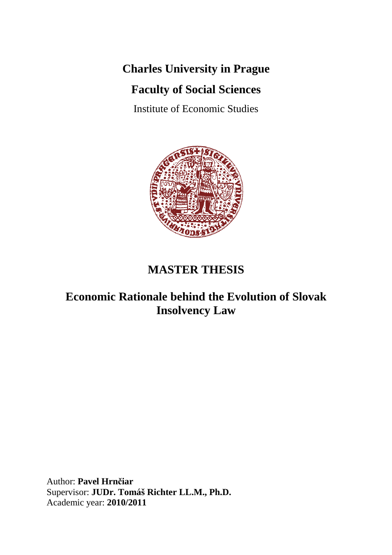# **Charles University in Prague**

# **Faculty of Social Sciences**

Institute of Economic Studies



# **MASTER THESIS**

# **Economic Rationale behind the Evolution of Slovak Insolvency Law**

Author: **Pavel Hrnčiar**  Supervisor: **JUDr. Tomáš Richter LL.M., Ph.D.**  Academic year: **2010/2011**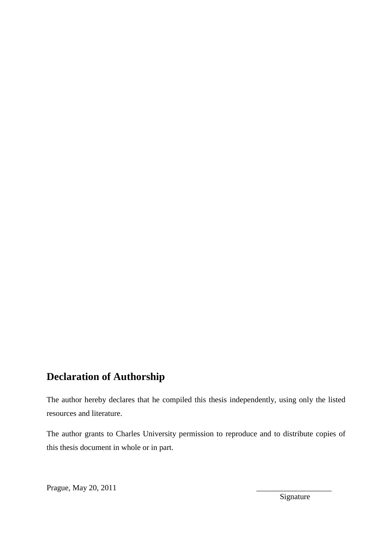# **Declaration of Authorship**

The author hereby declares that he compiled this thesis independently, using only the listed resources and literature.

The author grants to Charles University permission to reproduce and to distribute copies of this thesis document in whole or in part.

Prague, May 20, 2011

Signature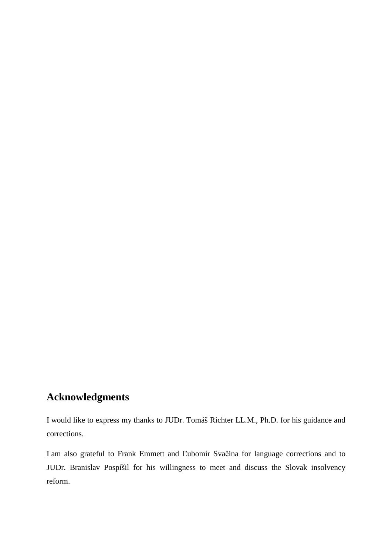# **Acknowledgments**

I would like to express my thanks to JUDr. Tomáš Richter LL.M., Ph.D. for his guidance and corrections.

I am also grateful to Frank Emmett and Ľubomír Svačina for language corrections and to JUDr. Branislav Pospíšil for his willingness to meet and discuss the Slovak insolvency reform.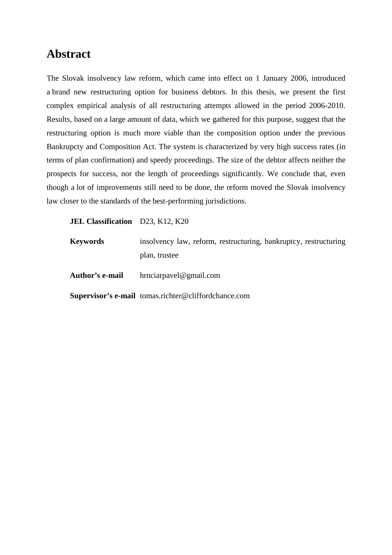# **Abstract**

The Slovak insolvency law reform, which came into effect on 1 January 2006, introduced a brand new restructuring option for business debtors. In this thesis, we present the first complex empirical analysis of all restructuring attempts allowed in the period 2006-2010. Results, based on a large amount of data, which we gathered for this purpose, suggest that the restructuring option is much more viable than the composition option under the previous Bankrupcty and Composition Act. The system is characterized by very high success rates (in terms of plan confirmation) and speedy proceedings. The size of the debtor affects neither the prospects for success, nor the length of proceedings significantly. We conclude that, even though a lot of improvements still need to be done, the reform moved the Slovak insolvency law closer to the standards of the best-performing jurisdictions.

### **JEL Classification** D23, K12, K20

| <b>Keywords</b> | insolvency law, reform, restructuring, bankruptcy, restructuring |
|-----------------|------------------------------------------------------------------|
|                 | plan, trustee                                                    |
| Author's e-mail | $h$ rnciarpavel@gmail.com                                        |
|                 | <b>Supervisor's e-mail</b> tomas.richter@cliffordchance.com      |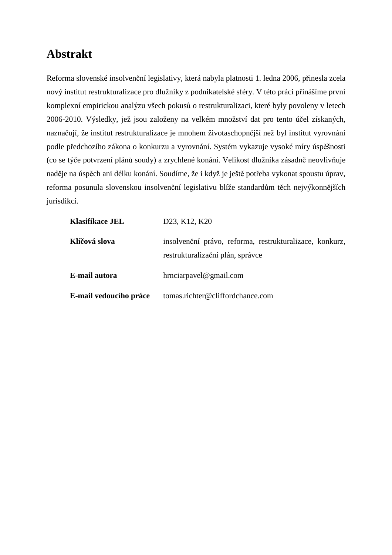# **Abstrakt**

Reforma slovenské insolvenční legislativy, která nabyla platnosti 1. ledna 2006, přinesla zcela nový institut restrukturalizace pro dlužníky z podnikatelské sféry. V této práci přinášíme první komplexní empirickou analýzu všech pokusů o restrukturalizaci, které byly povoleny v letech 2006-2010. Výsledky, jež jsou založeny na velkém množství dat pro tento účel získaných, naznačují, že institut restrukturalizace je mnohem životaschopnější než byl institut vyrovnání podle předchozího zákona o konkurzu a vyrovnání. Systém vykazuje vysoké míry úspěšnosti (co se týče potvrzení plánů soudy) a zrychlené konání. Velikost dlužníka zásadně neovlivňuje naděje na úspěch ani délku konání. Soudíme, že i když je ještě potřeba vykonat spoustu úprav, reforma posunula slovenskou insolvenční legislativu blíže standardům těch nejvýkonnějších jurisdikcí.

| <b>Klasifikace JEL</b> | D <sub>23</sub> , K <sub>12</sub> , K <sub>20</sub>                                         |
|------------------------|---------------------------------------------------------------------------------------------|
| Klíčová slova          | insolvenční právo, reforma, restrukturalizace, konkurz,<br>restrukturalizační plán, správce |
| E-mail autora          | $h$ rnciarpavel@gmail.com                                                                   |
| E-mail vedoucího práce | tomas.richter@cliffordchance.com                                                            |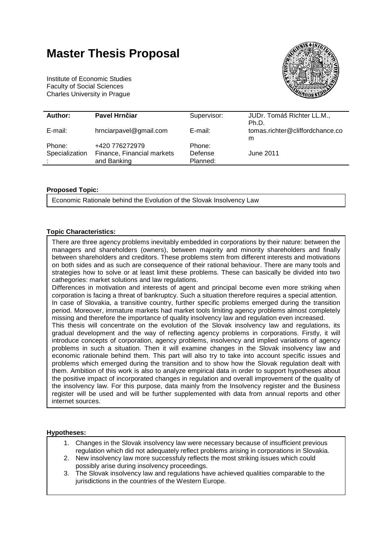# **Master Thesis Proposal**

Institute of Economic Studies Faculty of Social Sciences Charles University in Prague



| Author:        | Pavel Hrnčiar              | Supervisor: | JUDr. Tomáš Richter LL.M.,      |
|----------------|----------------------------|-------------|---------------------------------|
|                |                            |             | Ph.D.                           |
|                |                            |             |                                 |
| E-mail:        | hrnciarpavel@gmail.com     | E-mail:     | tomas.richter@cliffordchance.co |
|                |                            |             | m                               |
|                |                            |             |                                 |
| Phone:         | +420 776272979             | Phone:      |                                 |
| Specialization | Finance, Financial markets | Defense     | June 2011                       |
|                |                            |             |                                 |
|                | and Banking                | Planned:    |                                 |
|                |                            |             |                                 |

#### **Proposed Topic:**

Economic Rationale behind the Evolution of the Slovak Insolvency Law

#### **Topic Characteristics:**

There are three agency problems inevitably embedded in corporations by their nature: between the managers and shareholders (owners), between majority and minority shareholders and finally between shareholders and creditors. These problems stem from different interests and motivations on both sides and as such are consequence of their rational behaviour. There are many tools and strategies how to solve or at least limit these problems. These can basically be divided into two cathegories: market solutions and law regulations.

Differences in motivation and interests of agent and principal become even more striking when corporation is facing a threat of bankruptcy. Such a situation therefore requires a special attention. In case of Slovakia, a transitive country, further specific problems emerged during the transition period. Moreover, immature markets had market tools limiting agency problems almost completely missing and therefore the importance of quality insolvency law and regulation even increased.

This thesis will concentrate on the evolution of the Slovak insolvency law and regulations, its gradual development and the way of reflecting agency problems in corporations. Firstly, it will introduce concepts of corporation, agency problems, insolvency and implied variations of agency problems in such a situation. Then it will examine changes in the Slovak insolvency law and economic rationale behind them. This part will also try to take into account specific issues and problems which emerged during the transition and to show how the Slovak regulation dealt with them. Ambition of this work is also to analyze empirical data in order to support hypotheses about the positive impact of incorporated changes in regulation and overall improvement of the quality of the insolvency law. For this purpose, data mainly from the Insolvency register and the Business register will be used and will be further supplemented with data from annual reports and other internet sources.

#### **Hypotheses:**

- 1. Changes in the Slovak insolvency law were necessary because of insufficient previous regulation which did not adequately reflect problems arising in corporations in Slovakia.
- 2. New insolvency law more successfuly reflects the most striking issues which could possibly arise during insolvency proceedings.
- 3. The Slovak insolvency law and regulations have achieved qualities comparable to the jurisdictions in the countries of the Western Europe.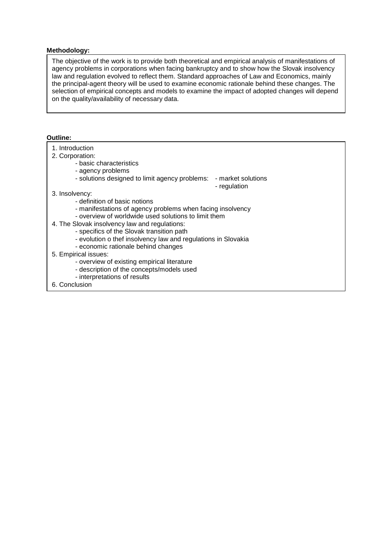#### **Methodology:**

The objective of the work is to provide both theoretical and empirical analysis of manifestations of agency problems in corporations when facing bankruptcy and to show how the Slovak insolvency law and regulation evolved to reflect them. Standard approaches of Law and Economics, mainly the principal-agent theory will be used to examine economic rationale behind these changes. The selection of empirical concepts and models to examine the impact of adopted changes will depend on the quality/availability of necessary data.

#### **Outline:**

| 1. Introduction<br>2. Corporation:<br>- basic characteristics<br>- agency problems<br>- solutions designed to limit agency problems:                                                                                                                                                                                                                      | - market solutions<br>- regulation |
|-----------------------------------------------------------------------------------------------------------------------------------------------------------------------------------------------------------------------------------------------------------------------------------------------------------------------------------------------------------|------------------------------------|
| 3. Insolvency:                                                                                                                                                                                                                                                                                                                                            |                                    |
| - definition of basic notions<br>- manifestations of agency problems when facing insolvency<br>- overview of worldwide used solutions to limit them<br>4. The Slovak insolvency law and regulations:<br>- specifics of the Slovak transition path<br>- evolution o thef insolvency law and regulations in Slovakia<br>- economic rationale behind changes |                                    |
| 5. Empirical issues:                                                                                                                                                                                                                                                                                                                                      |                                    |
| - overview of existing empirical literature                                                                                                                                                                                                                                                                                                               |                                    |
| - description of the concepts/models used                                                                                                                                                                                                                                                                                                                 |                                    |
| - interpretations of results                                                                                                                                                                                                                                                                                                                              |                                    |
| 6. Conclusion                                                                                                                                                                                                                                                                                                                                             |                                    |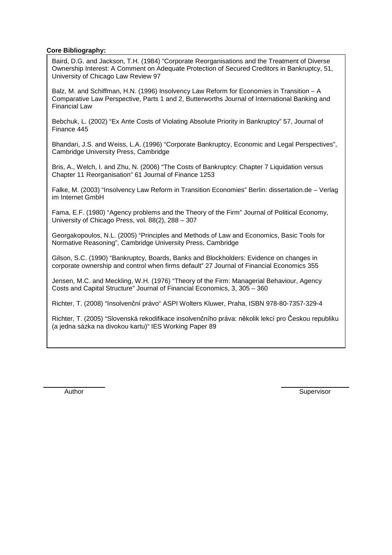#### **Core Bibliography:**

Baird, D.G. and Jackson, T.H. (1984) "Corporate Reorganisations and the Treatment of Diverse Ownership Interest: A Comment on Adequate Protection of Secured Creditors in Bankruptcy, 51, University of Chicago Law Review 97

Balz, M. and Schiffman, H.N. (1996) Insolvency Law Reform for Economies in Transition – A Comparative Law Perspective, Parts 1 and 2, Butterworths Journal of International Banking and Financial Law

Bebchuk, L. (2002) "Ex Ante Costs of Violating Absolute Priority in Bankruptcy" 57, Journal of Finance 445

Bhandari, J.S. and Weiss, L.A. (1996) "Corporate Bankruptcy, Economic and Legal Perspectives", Cambridge University Press, Cambridge

Bris, A., Welch, I. and Zhu, N. (2006) "The Costs of Bankruptcy: Chapter 7 Liquidation versus Chapter 11 Reorganisation" 61 Journal of Finance 1253

Falke, M. (2003) "Insolvency Law Reform in Transition Economies" Berlin: dissertation.de – Verlag im Internet GmbH

Fama, E.F. (1980) "Agency problems and the Theory of the Firm" Journal of Political Economy, University of Chicago Press, vol. 88(2), 288 – 307

Georgakopoulos, N.L. (2005) "Principles and Methods of Law and Economics, Basic Tools for Normative Reasoning", Cambridge University Press, Cambridge

Gilson, S.C. (1990) "Bankruptcy, Boards, Banks and Blockholders: Evidence on changes in corporate ownership and control when firms default" 27 Journal of Financial Economics 355

Jensen, M.C. and Meckling, W.H. (1976) "Theory of the Firm: Managerial Behaviour, Agency Costs and Capital Structure" Journal of Financial Economics, 3, 305 – 360

Richter, T. (2008) "Insolvenční právo" ASPI Wolters Kluwer, Praha, ISBN 978-80-7357-329-4

Richter, T. (2005) "Slovenská rekodifikace insolvenčního práva: několik lekcí pro Českou republiku (a jedna sázka na divokou kartu)" IES Working Paper 89

Author Supervisor **Author** Supervisor **Supervisor Supervisor**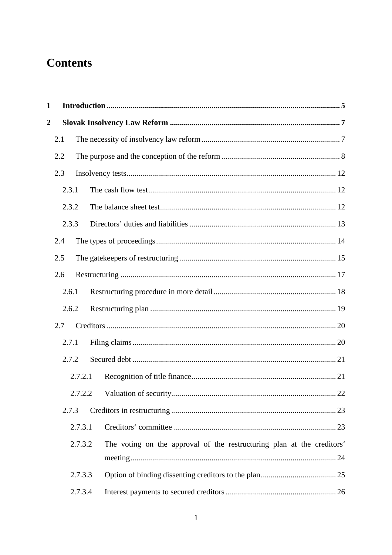# **Contents**

| $\mathbf{1}$     |       |         |                                                                        |  |
|------------------|-------|---------|------------------------------------------------------------------------|--|
| $\boldsymbol{2}$ |       |         |                                                                        |  |
|                  | 2.1   |         |                                                                        |  |
|                  | 2.2   |         |                                                                        |  |
|                  | 2.3   |         |                                                                        |  |
|                  | 2.3.1 |         |                                                                        |  |
|                  | 2.3.2 |         |                                                                        |  |
|                  | 2.3.3 |         |                                                                        |  |
|                  | 2.4   |         |                                                                        |  |
|                  | 2.5   |         |                                                                        |  |
|                  | 2.6   |         |                                                                        |  |
|                  | 2.6.1 |         |                                                                        |  |
|                  | 2.6.2 |         |                                                                        |  |
|                  | 2.7   |         |                                                                        |  |
|                  | 2.7.1 |         |                                                                        |  |
|                  | 2.7.2 |         |                                                                        |  |
|                  |       | 2.7.2.1 |                                                                        |  |
|                  |       | 2.7.2.2 |                                                                        |  |
|                  | 2.7.3 |         |                                                                        |  |
|                  |       | 2.7.3.1 |                                                                        |  |
|                  |       | 2.7.3.2 | The voting on the approval of the restructuring plan at the creditors' |  |
|                  |       |         |                                                                        |  |
|                  |       | 2.7.3.3 |                                                                        |  |
|                  |       | 2.7.3.4 |                                                                        |  |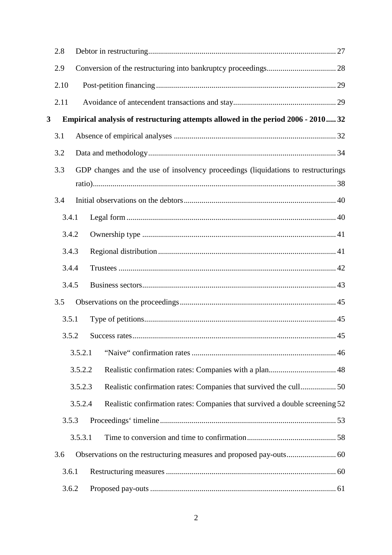|   | 2.8   |         |                                                                                   |  |
|---|-------|---------|-----------------------------------------------------------------------------------|--|
|   | 2.9   |         |                                                                                   |  |
|   | 2.10  |         |                                                                                   |  |
|   | 2.11  |         |                                                                                   |  |
| 3 |       |         | Empirical analysis of restructuring attempts allowed in the period 2006 - 2010 32 |  |
|   | 3.1   |         |                                                                                   |  |
|   | 3.2   |         |                                                                                   |  |
|   | 3.3   |         | GDP changes and the use of insolvency proceedings (liquidations to restructurings |  |
|   |       |         |                                                                                   |  |
|   | 3.4   |         |                                                                                   |  |
|   | 3.4.1 |         |                                                                                   |  |
|   | 3.4.2 |         |                                                                                   |  |
|   | 3.4.3 |         |                                                                                   |  |
|   | 3.4.4 |         |                                                                                   |  |
|   | 3.4.5 |         |                                                                                   |  |
|   | 3.5   |         |                                                                                   |  |
|   | 3.5.1 |         |                                                                                   |  |
|   | 3.5.2 |         |                                                                                   |  |
|   |       | 3.5.2.1 |                                                                                   |  |
|   |       | 3.5.2.2 |                                                                                   |  |
|   |       | 3.5.2.3 |                                                                                   |  |
|   |       | 3.5.2.4 | Realistic confirmation rates: Companies that survived a double screening 52       |  |
|   | 3.5.3 |         |                                                                                   |  |
|   |       | 3.5.3.1 |                                                                                   |  |
|   | 3.6   |         |                                                                                   |  |
|   | 3.6.1 |         |                                                                                   |  |
|   | 3.6.2 |         |                                                                                   |  |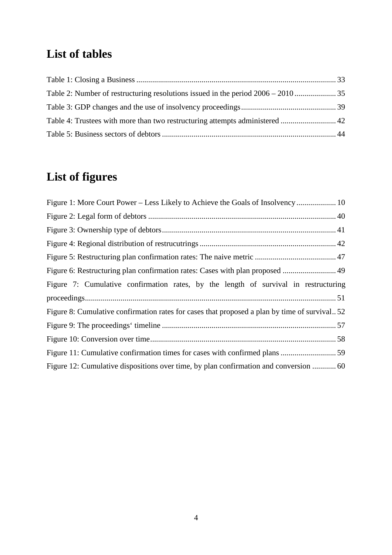# **List of tables**

# **List of figures**

| Figure 1: More Court Power – Less Likely to Achieve the Goals of Insolvency  10              |
|----------------------------------------------------------------------------------------------|
|                                                                                              |
|                                                                                              |
|                                                                                              |
|                                                                                              |
|                                                                                              |
| Figure 7: Cumulative confirmation rates, by the length of survival in restructuring          |
|                                                                                              |
| Figure 8: Cumulative confirmation rates for cases that proposed a plan by time of survival52 |
|                                                                                              |
|                                                                                              |
|                                                                                              |
| Figure 12: Cumulative dispositions over time, by plan confirmation and conversion  60        |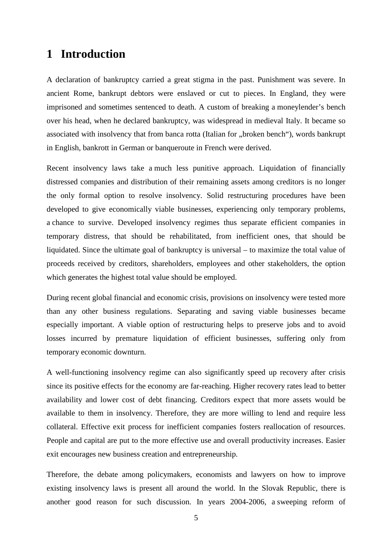## **1 Introduction**

A declaration of bankruptcy carried a great stigma in the past. Punishment was severe. In ancient Rome, bankrupt debtors were enslaved or cut to pieces. In England, they were imprisoned and sometimes sentenced to death. A custom of breaking a moneylender's bench over his head, when he declared bankruptcy, was widespread in medieval Italy. It became so associated with insolvency that from banca rotta (Italian for "broken bench"), words bankrupt in English, bankrott in German or banqueroute in French were derived.

Recent insolvency laws take a much less punitive approach. Liquidation of financially distressed companies and distribution of their remaining assets among creditors is no longer the only formal option to resolve insolvency. Solid restructuring procedures have been developed to give economically viable businesses, experiencing only temporary problems, a chance to survive. Developed insolvency regimes thus separate efficient companies in temporary distress, that should be rehabilitated, from inefficient ones, that should be liquidated. Since the ultimate goal of bankruptcy is universal – to maximize the total value of proceeds received by creditors, shareholders, employees and other stakeholders, the option which generates the highest total value should be employed.

During recent global financial and economic crisis, provisions on insolvency were tested more than any other business regulations. Separating and saving viable businesses became especially important. A viable option of restructuring helps to preserve jobs and to avoid losses incurred by premature liquidation of efficient businesses, suffering only from temporary economic downturn.

A well-functioning insolvency regime can also significantly speed up recovery after crisis since its positive effects for the economy are far-reaching. Higher recovery rates lead to better availability and lower cost of debt financing. Creditors expect that more assets would be available to them in insolvency. Therefore, they are more willing to lend and require less collateral. Effective exit process for inefficient companies fosters reallocation of resources. People and capital are put to the more effective use and overall productivity increases. Easier exit encourages new business creation and entrepreneurship.

Therefore, the debate among policymakers, economists and lawyers on how to improve existing insolvency laws is present all around the world. In the Slovak Republic, there is another good reason for such discussion. In years 2004-2006, a sweeping reform of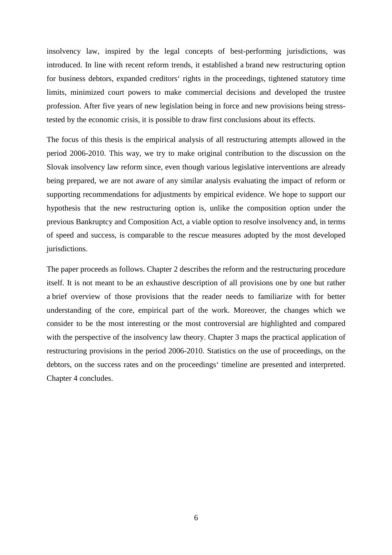insolvency law, inspired by the legal concepts of best-performing jurisdictions, was introduced. In line with recent reform trends, it established a brand new restructuring option for business debtors, expanded creditors' rights in the proceedings, tightened statutory time limits, minimized court powers to make commercial decisions and developed the trustee profession. After five years of new legislation being in force and new provisions being stresstested by the economic crisis, it is possible to draw first conclusions about its effects.

The focus of this thesis is the empirical analysis of all restructuring attempts allowed in the period 2006-2010. This way, we try to make original contribution to the discussion on the Slovak insolvency law reform since, even though various legislative interventions are already being prepared, we are not aware of any similar analysis evaluating the impact of reform or supporting recommendations for adjustments by empirical evidence. We hope to support our hypothesis that the new restructuring option is, unlike the composition option under the previous Bankruptcy and Composition Act, a viable option to resolve insolvency and, in terms of speed and success, is comparable to the rescue measures adopted by the most developed jurisdictions.

The paper proceeds as follows. Chapter 2 describes the reform and the restructuring procedure itself. It is not meant to be an exhaustive description of all provisions one by one but rather a brief overview of those provisions that the reader needs to familiarize with for better understanding of the core, empirical part of the work. Moreover, the changes which we consider to be the most interesting or the most controversial are highlighted and compared with the perspective of the insolvency law theory. Chapter 3 maps the practical application of restructuring provisions in the period 2006-2010. Statistics on the use of proceedings, on the debtors, on the success rates and on the proceedings' timeline are presented and interpreted. Chapter 4 concludes.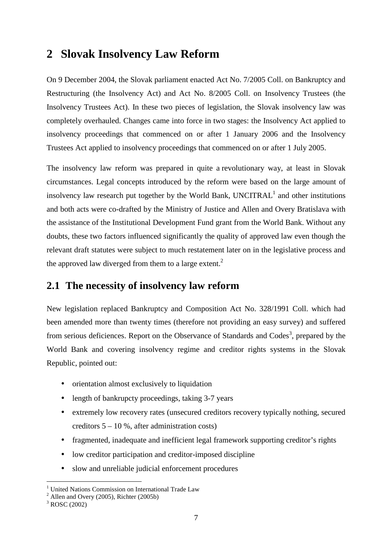# **2 Slovak Insolvency Law Reform**

On 9 December 2004, the Slovak parliament enacted Act No. 7/2005 Coll. on Bankruptcy and Restructuring (the Insolvency Act) and Act No. 8/2005 Coll. on Insolvency Trustees (the Insolvency Trustees Act). In these two pieces of legislation, the Slovak insolvency law was completely overhauled. Changes came into force in two stages: the Insolvency Act applied to insolvency proceedings that commenced on or after 1 January 2006 and the Insolvency Trustees Act applied to insolvency proceedings that commenced on or after 1 July 2005.

The insolvency law reform was prepared in quite a revolutionary way, at least in Slovak circumstances. Legal concepts introduced by the reform were based on the large amount of insolvency law research put together by the World Bank,  $UNCITRAL<sup>1</sup>$  and other institutions and both acts were co-drafted by the Ministry of Justice and Allen and Overy Bratislava with the assistance of the Institutional Development Fund grant from the World Bank. Without any doubts, these two factors influenced significantly the quality of approved law even though the relevant draft statutes were subject to much restatement later on in the legislative process and the approved law diverged from them to a large extent.<sup>2</sup>

## **2.1 The necessity of insolvency law reform**

New legislation replaced Bankruptcy and Composition Act No. 328/1991 Coll. which had been amended more than twenty times (therefore not providing an easy survey) and suffered from serious deficiences. Report on the Observance of Standards and Codes<sup>3</sup>, prepared by the World Bank and covering insolvency regime and creditor rights systems in the Slovak Republic, pointed out:

- orientation almost exclusively to liquidation
- length of bankrupcty proceedings, taking 3-7 years
- extremely low recovery rates (unsecured creditors recovery typically nothing, secured creditors  $5 - 10$  %, after administration costs)
- fragmented, inadequate and inefficient legal framework supporting creditor's rights
- low creditor participation and creditor-imposed discipline
- slow and unreliable judicial enforcement procedures

 1 United Nations Commission on International Trade Law

 $<sup>2</sup>$  Allen and Overy (2005), Richter (2005b)</sup>

 $3$  ROSC (2002)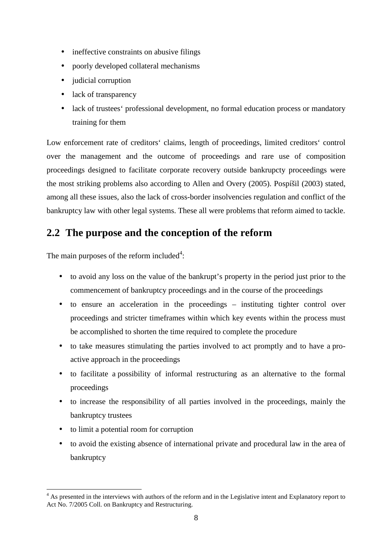- ineffective constraints on abusive filings
- poorly developed collateral mechanisms
- judicial corruption
- lack of transparency
- lack of trustees' professional development, no formal education process or mandatory training for them

Low enforcement rate of creditors' claims, length of proceedings, limited creditors' control over the management and the outcome of proceedings and rare use of composition proceedings designed to facilitate corporate recovery outside bankrupcty proceedings were the most striking problems also according to Allen and Overy (2005). Pospíšil (2003) stated, among all these issues, also the lack of cross-border insolvencies regulation and conflict of the bankruptcy law with other legal systems. These all were problems that reform aimed to tackle.

## **2.2 The purpose and the conception of the reform**

The main purposes of the reform included<sup>4</sup>:

- to avoid any loss on the value of the bankrupt's property in the period just prior to the commencement of bankruptcy proceedings and in the course of the proceedings
- to ensure an acceleration in the proceedings instituting tighter control over proceedings and stricter timeframes within which key events within the process must be accomplished to shorten the time required to complete the procedure
- to take measures stimulating the parties involved to act promptly and to have a proactive approach in the proceedings
- to facilitate a possibility of informal restructuring as an alternative to the formal proceedings
- to increase the responsibility of all parties involved in the proceedings, mainly the bankruptcy trustees
- to limit a potential room for corruption

 $\overline{a}$ 

• to avoid the existing absence of international private and procedural law in the area of bankruptcy

<sup>&</sup>lt;sup>4</sup> As presented in the interviews with authors of the reform and in the Legislative intent and Explanatory report to Act No. 7/2005 Coll. on Bankruptcy and Restructuring.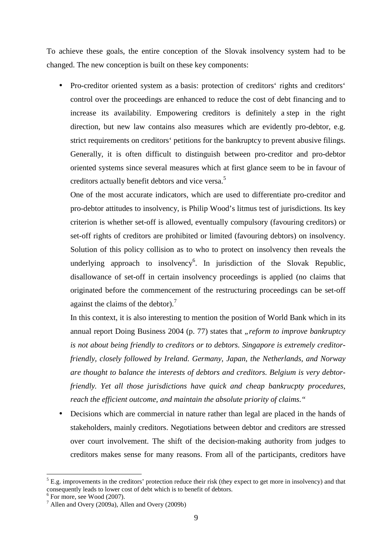To achieve these goals, the entire conception of the Slovak insolvency system had to be changed. The new conception is built on these key components:

• Pro-creditor oriented system as a basis: protection of creditors' rights and creditors' control over the proceedings are enhanced to reduce the cost of debt financing and to increase its availability. Empowering creditors is definitely a step in the right direction, but new law contains also measures which are evidently pro-debtor, e.g. strict requirements on creditors' petitions for the bankruptcy to prevent abusive filings. Generally, it is often difficult to distinguish between pro-creditor and pro-debtor oriented systems since several measures which at first glance seem to be in favour of creditors actually benefit debtors and vice versa.<sup>5</sup>

One of the most accurate indicators, which are used to differentiate pro-creditor and pro-debtor attitudes to insolvency, is Philip Wood's litmus test of jurisdictions. Its key criterion is whether set-off is allowed, eventually compulsory (favouring creditors) or set-off rights of creditors are prohibited or limited (favouring debtors) on insolvency. Solution of this policy collision as to who to protect on insolvency then reveals the underlying approach to insolvency<sup>6</sup>. In jurisdiction of the Slovak Republic, disallowance of set-off in certain insolvency proceedings is applied (no claims that originated before the commencement of the restructuring proceedings can be set-off against the claims of the debtor).<sup>7</sup>

In this context, it is also interesting to mention the position of World Bank which in its annual report Doing Business 2004 (p. 77) states that "*reform to improve bankruptcy is not about being friendly to creditors or to debtors. Singapore is extremely creditorfriendly, closely followed by Ireland. Germany, Japan, the Netherlands, and Norway are thought to balance the interests of debtors and creditors. Belgium is very debtorfriendly. Yet all those jurisdictions have quick and cheap bankrucpty procedures, reach the efficient outcome, and maintain the absolute priority of claims."* 

• Decisions which are commercial in nature rather than legal are placed in the hands of stakeholders, mainly creditors. Negotiations between debtor and creditors are stressed over court involvement. The shift of the decision-making authority from judges to creditors makes sense for many reasons. From all of the participants, creditors have

 $<sup>5</sup>$  E.g. improvements in the creditors' protection reduce their risk (they expect to get more in insolvency) and that</sup> consequently leads to lower cost of debt which is to benefit of debtors.

<sup>6</sup> For more, see Wood (2007).

 $^7$  Allen and Overy (2009a), Allen and Overy (2009b)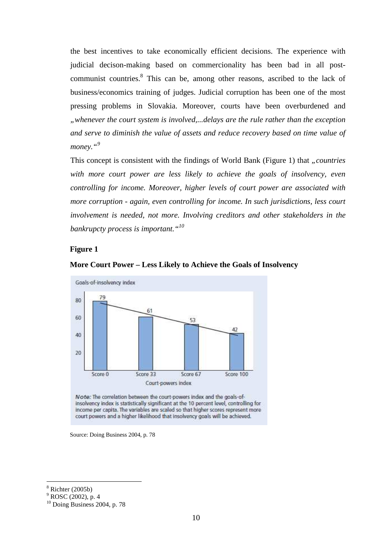the best incentives to take economically efficient decisions. The experience with judicial decison-making based on commercionality has been bad in all postcommunist countries.<sup>8</sup> This can be, among other reasons, ascribed to the lack of business/economics training of judges. Judicial corruption has been one of the most pressing problems in Slovakia. Moreover, courts have been overburdened and *"whenever the court system is involved,...delays are the rule rather than the exception and serve to diminish the value of assets and reduce recovery based on time value of money."<sup>9</sup>*

This concept is consistent with the findings of World Bank (Figure 1) that *"countries with more court power are less likely to achieve the goals of insolvency, even controlling for income. Moreover, higher levels of court power are associated with more corruption - again, even controlling for income. In such jurisdictions, less court involvement is needed, not more. Involving creditors and other stakeholders in the bankrupcty process is important."<sup>10</sup>*

#### **Figure 1**





Note: The correlation between the court-powers index and the goals-ofinsolvency index is statistically significant at the 10 percent level, controlling for income per capita. The variables are scaled so that higher scores represent more court powers and a higher likelihood that insolvency goals will be achieved.

Source: Doing Business 2004, p. 78

<sup>8</sup> Richter (2005b)

<sup>&</sup>lt;sup>9</sup> ROSC (2002), p. 4

 $10$  Doing Business 2004, p. 78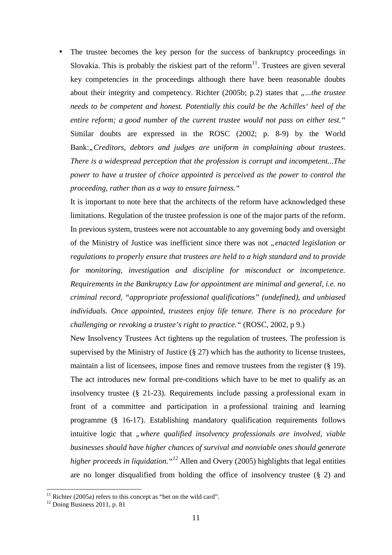The trustee becomes the key person for the success of bankruptcy proceedings in Slovakia. This is probably the riskiest part of the reform<sup>11</sup>. Trustees are given several key competencies in the proceedings although there have been reasonable doubts about their integrity and competency. Richter (2005b; p.2) states that *"...the trustee needs to be competent and honest. Potentially this could be the Achilles' heel of the entire reform; a good number of the current trustee would not pass on either test."* Similar doubts are expressed in the ROSC (2002; p. 8-9) by the World Bank:, Creditors, debtors and judges are uniform in complaining about trustees. *There is a widespread perception that the profession is corrupt and incompetent...The power to have a trustee of choice appointed is perceived as the power to control the proceeding, rather than as a way to ensure fairness."*

It is important to note here that the architects of the reform have acknowledged these limitations. Regulation of the trustee profession is one of the major parts of the reform. In previous system, trustees were not accountable to any governing body and oversight of the Ministry of Justice was inefficient since there was not *"enacted legislation or regulations to properly ensure that trustees are held to a high standard and to provide for monitoring, investigation and discipline for misconduct or incompetence. Requirements in the Bankruptcy Law for appointment are minimal and general, i.e. no criminal record, "appropriate professional qualifications" (undefined), and unbiased individuals. Once appointed, trustees enjoy life tenure. There is no procedure for challenging or revoking a trustee's right to practice."* (ROSC, 2002, p 9.)

New Insolvency Trustees Act tightens up the regulation of trustees. The profession is supervised by the Ministry of Justice (§ 27) which has the authority to license trustees, maintain a list of licensees, impose fines and remove trustees from the register (§ 19). The act introduces new formal pre-conditions which have to be met to qualify as an insolvency trustee (§ 21-23). Requirements include passing a professional exam in front of a committee and participation in a professional training and learning programme (§ 16-17). Establishing mandatory qualification requirements follows intuitive logic that *"where qualified insolvency professionals are involved, viable businesses should have higher chances of survival and nonviable ones should generate higher proceeds in liquidation."<sup>12</sup>* Allen and Overy (2005) highlights that legal entities are no longer disqualified from holding the office of insolvency trustee (§ 2) and

 $11$  Richter (2005a) refers to this concept as "bet on the wild card".

<sup>&</sup>lt;sup>12</sup> Doing Business 2011, p. 81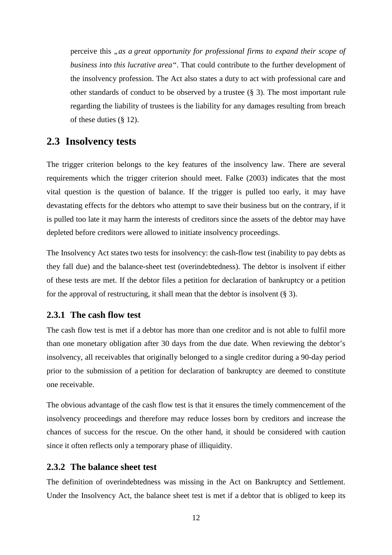perceive this *"as a great opportunity for professional firms to expand their scope of business into this lucrative area"*. That could contribute to the further development of the insolvency profession. The Act also states a duty to act with professional care and other standards of conduct to be observed by a trustee (§ 3). The most important rule regarding the liability of trustees is the liability for any damages resulting from breach of these duties (§ 12).

### **2.3 Insolvency tests**

The trigger criterion belongs to the key features of the insolvency law. There are several requirements which the trigger criterion should meet. Falke (2003) indicates that the most vital question is the question of balance. If the trigger is pulled too early, it may have devastating effects for the debtors who attempt to save their business but on the contrary, if it is pulled too late it may harm the interests of creditors since the assets of the debtor may have depleted before creditors were allowed to initiate insolvency proceedings.

The Insolvency Act states two tests for insolvency: the cash-flow test (inability to pay debts as they fall due) and the balance-sheet test (overindebtedness). The debtor is insolvent if either of these tests are met. If the debtor files a petition for declaration of bankruptcy or a petition for the approval of restructuring, it shall mean that the debtor is insolvent  $(\S 3)$ .

### **2.3.1 The cash flow test**

The cash flow test is met if a debtor has more than one creditor and is not able to fulfil more than one monetary obligation after 30 days from the due date. When reviewing the debtor's insolvency, all receivables that originally belonged to a single creditor during a 90-day period prior to the submission of a petition for declaration of bankruptcy are deemed to constitute one receivable.

The obvious advantage of the cash flow test is that it ensures the timely commencement of the insolvency proceedings and therefore may reduce losses born by creditors and increase the chances of success for the rescue. On the other hand, it should be considered with caution since it often reflects only a temporary phase of illiquidity.

### **2.3.2 The balance sheet test**

The definition of overindebtedness was missing in the Act on Bankruptcy and Settlement. Under the Insolvency Act, the balance sheet test is met if a debtor that is obliged to keep its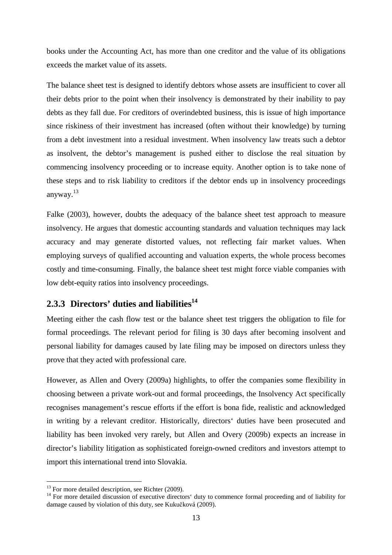books under the Accounting Act, has more than one creditor and the value of its obligations exceeds the market value of its assets.

The balance sheet test is designed to identify debtors whose assets are insufficient to cover all their debts prior to the point when their insolvency is demonstrated by their inability to pay debts as they fall due. For creditors of overindebted business, this is issue of high importance since riskiness of their investment has increased (often without their knowledge) by turning from a debt investment into a residual investment. When insolvency law treats such a debtor as insolvent, the debtor's management is pushed either to disclose the real situation by commencing insolvency proceeding or to increase equity. Another option is to take none of these steps and to risk liability to creditors if the debtor ends up in insolvency proceedings anyway.<sup>13</sup>

Falke (2003), however, doubts the adequacy of the balance sheet test approach to measure insolvency. He argues that domestic accounting standards and valuation techniques may lack accuracy and may generate distorted values, not reflecting fair market values. When employing surveys of qualified accounting and valuation experts, the whole process becomes costly and time-consuming. Finally, the balance sheet test might force viable companies with low debt-equity ratios into insolvency proceedings.

## **2.3.3 Directors' duties and liabilities<sup>14</sup>**

Meeting either the cash flow test or the balance sheet test triggers the obligation to file for formal proceedings. The relevant period for filing is 30 days after becoming insolvent and personal liability for damages caused by late filing may be imposed on directors unless they prove that they acted with professional care.

However, as Allen and Overy (2009a) highlights, to offer the companies some flexibility in choosing between a private work-out and formal proceedings, the Insolvency Act specifically recognises management's rescue efforts if the effort is bona fide, realistic and acknowledged in writing by a relevant creditor. Historically, directors' duties have been prosecuted and liability has been invoked very rarely, but Allen and Overy (2009b) expects an increase in director's liability litigation as sophisticated foreign-owned creditors and investors attempt to import this international trend into Slovakia.

 $\overline{a}$  $13$  For more detailed description, see Richter (2009).

<sup>&</sup>lt;sup>14</sup> For more detailed discussion of executive directors' duty to commence formal proceeding and of liability for damage caused by violation of this duty, see Kukučková (2009).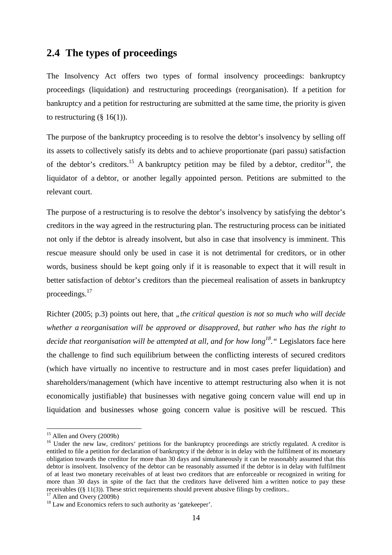## **2.4 The types of proceedings**

The Insolvency Act offers two types of formal insolvency proceedings: bankruptcy proceedings (liquidation) and restructuring proceedings (reorganisation). If a petition for bankruptcy and a petition for restructuring are submitted at the same time, the priority is given to restructuring  $(\S 16(1))$ .

The purpose of the bankruptcy proceeding is to resolve the debtor's insolvency by selling off its assets to collectively satisfy its debts and to achieve proportionate (pari passu) satisfaction of the debtor's creditors.<sup>15</sup> A bankruptcy petition may be filed by a debtor, creditor<sup>16</sup>, the liquidator of a debtor, or another legally appointed person. Petitions are submitted to the relevant court.

The purpose of a restructuring is to resolve the debtor's insolvency by satisfying the debtor's creditors in the way agreed in the restructuring plan. The restructuring process can be initiated not only if the debtor is already insolvent, but also in case that insolvency is imminent. This rescue measure should only be used in case it is not detrimental for creditors, or in other words, business should be kept going only if it is reasonable to expect that it will result in better satisfaction of debtor's creditors than the piecemeal realisation of assets in bankruptcy proceedings.<sup>17</sup>

Richter (2005; p.3) points out here, that *"the critical question is not so much who will decide whether a reorganisation will be approved or disapproved, but rather who has the right to decide that reorganisation will be attempted at all, and for how long<sup>18</sup>."* Legislators face here the challenge to find such equilibrium between the conflicting interests of secured creditors (which have virtually no incentive to restructure and in most cases prefer liquidation) and shareholders/management (which have incentive to attempt restructuring also when it is not economically justifiable) that businesses with negative going concern value will end up in liquidation and businesses whose going concern value is positive will be rescued. This

<sup>&</sup>lt;sup>15</sup> Allen and Overy (2009b)

<sup>&</sup>lt;sup>16</sup> Under the new law, creditors' petitions for the bankruptcy proceedings are strictly regulated. A creditor is entitled to file a petition for declaration of bankruptcy if the debtor is in delay with the fulfilment of its monetary obligation towards the creditor for more than 30 days and simultaneously it can be reasonably assumed that this debtor is insolvent. Insolvency of the debtor can be reasonably assumed if the debtor is in delay with fulfilment of at least two monetary receivables of at least two creditors that are enforceable or recognized in writing for more than 30 days in spite of the fact that the creditors have delivered him a written notice to pay these receivables ((§ 11(3)). These strict requirements should prevent abusive filings by creditors..

 $17$  Allen and Overy (2009b)

<sup>&</sup>lt;sup>18</sup> Law and Economics refers to such authority as 'gatekeeper'.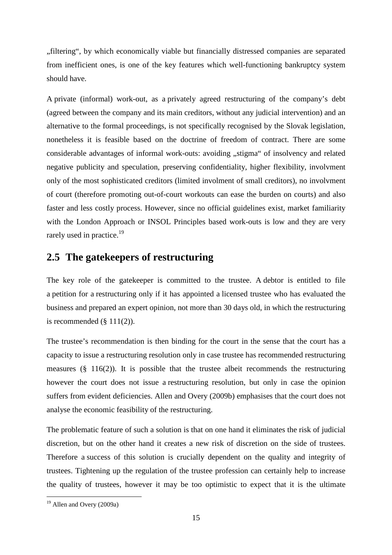"filtering", by which economically viable but financially distressed companies are separated from inefficient ones, is one of the key features which well-functioning bankruptcy system should have.

A private (informal) work-out, as a privately agreed restructuring of the company's debt (agreed between the company and its main creditors, without any judicial intervention) and an alternative to the formal proceedings, is not specifically recognised by the Slovak legislation, nonetheless it is feasible based on the doctrine of freedom of contract. There are some considerable advantages of informal work-outs: avoiding "stigma" of insolvency and related negative publicity and speculation, preserving confidentiality, higher flexibility, involvment only of the most sophisticated creditors (limited involment of small creditors), no involvment of court (therefore promoting out-of-court workouts can ease the burden on courts) and also faster and less costly process. However, since no official guidelines exist, market familiarity with the London Approach or INSOL Principles based work-outs is low and they are very rarely used in practice.<sup>19</sup>

## **2.5 The gatekeepers of restructuring**

The key role of the gatekeeper is committed to the trustee. A debtor is entitled to file a petition for a restructuring only if it has appointed a licensed trustee who has evaluated the business and prepared an expert opinion, not more than 30 days old, in which the restructuring is recommended  $(\S 111(2))$ .

The trustee's recommendation is then binding for the court in the sense that the court has a capacity to issue a restructuring resolution only in case trustee has recommended restructuring measures  $(\S 116(2))$ . It is possible that the trustee albeit recommends the restructuring however the court does not issue a restructuring resolution, but only in case the opinion suffers from evident deficiencies. Allen and Overy (2009b) emphasises that the court does not analyse the economic feasibility of the restructuring.

The problematic feature of such a solution is that on one hand it eliminates the risk of judicial discretion, but on the other hand it creates a new risk of discretion on the side of trustees. Therefore a success of this solution is crucially dependent on the quality and integrity of trustees. Tightening up the regulation of the trustee profession can certainly help to increase the quality of trustees, however it may be too optimistic to expect that it is the ultimate

<sup>&</sup>lt;sup>19</sup> Allen and Overy (2009a)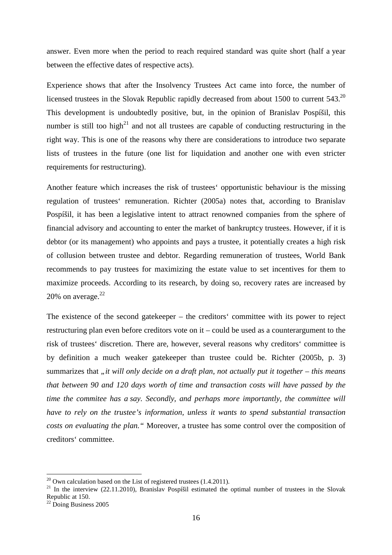answer. Even more when the period to reach required standard was quite short (half a year between the effective dates of respective acts).

Experience shows that after the Insolvency Trustees Act came into force, the number of licensed trustees in the Slovak Republic rapidly decreased from about 1500 to current 543.<sup>20</sup> This development is undoubtedly positive, but, in the opinion of Branislav Pospíšil, this number is still too high<sup>21</sup> and not all trustees are capable of conducting restructuring in the right way. This is one of the reasons why there are considerations to introduce two separate lists of trustees in the future (one list for liquidation and another one with even stricter requirements for restructuring).

Another feature which increases the risk of trustees' opportunistic behaviour is the missing regulation of trustees' remuneration. Richter (2005a) notes that, according to Branislav Pospíšil, it has been a legislative intent to attract renowned companies from the sphere of financial advisory and accounting to enter the market of bankruptcy trustees. However, if it is debtor (or its management) who appoints and pays a trustee, it potentially creates a high risk of collusion between trustee and debtor. Regarding remuneration of trustees, World Bank recommends to pay trustees for maximizing the estate value to set incentives for them to maximize proceeds. According to its research, by doing so, recovery rates are increased by 20% on average. $22$ 

The existence of the second gatekeeper – the creditors' committee with its power to reject restructuring plan even before creditors vote on it – could be used as a counterargument to the risk of trustees' discretion. There are, however, several reasons why creditors' committee is by definition a much weaker gatekeeper than trustee could be. Richter (2005b, p. 3) summarizes that *"it will only decide on a draft plan, not actually put it together – this means that between 90 and 120 days worth of time and transaction costs will have passed by the time the commitee has a say. Secondly, and perhaps more importantly, the committee will have to rely on the trustee's information, unless it wants to spend substantial transaction costs on evaluating the plan."* Moreover, a trustee has some control over the composition of creditors' committee.

 $^{20}$  Own calculation based on the List of registered trustees (1.4.2011).

<sup>&</sup>lt;sup>21</sup> In the interview (22.11.2010), Branislav Pospíšil estimated the optimal number of trustees in the Slovak Republic at 150.

 $22$  Doing Business 2005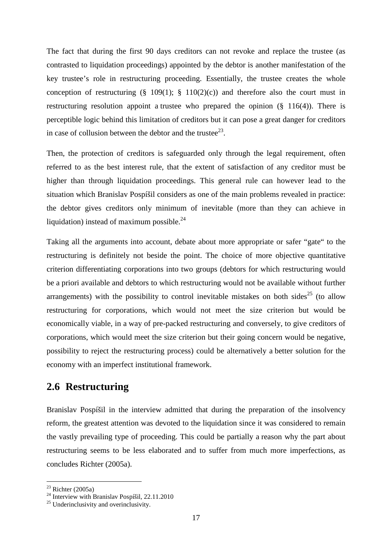The fact that during the first 90 days creditors can not revoke and replace the trustee (as contrasted to liquidation proceedings) appointed by the debtor is another manifestation of the key trustee's role in restructuring proceeding. Essentially, the trustee creates the whole conception of restructuring  $(\S 109(1); \S 110(2)(c))$  and therefore also the court must in restructuring resolution appoint a trustee who prepared the opinion (§ 116(4)). There is perceptible logic behind this limitation of creditors but it can pose a great danger for creditors in case of collusion between the debtor and the trustee $^{23}$ .

Then, the protection of creditors is safeguarded only through the legal requirement, often referred to as the best interest rule, that the extent of satisfaction of any creditor must be higher than through liquidation proceedings. This general rule can however lead to the situation which Branislav Pospíšil considers as one of the main problems revealed in practice: the debtor gives creditors only minimum of inevitable (more than they can achieve in liquidation) instead of maximum possible. $^{24}$ 

Taking all the arguments into account, debate about more appropriate or safer "gate" to the restructuring is definitely not beside the point. The choice of more objective quantitative criterion differentiating corporations into two groups (debtors for which restructuring would be a priori available and debtors to which restructuring would not be available without further arrangements) with the possibility to control inevitable mistakes on both sides<sup>25</sup> (to allow restructuring for corporations, which would not meet the size criterion but would be economically viable, in a way of pre-packed restructuring and conversely, to give creditors of corporations, which would meet the size criterion but their going concern would be negative, possibility to reject the restructuring process) could be alternatively a better solution for the economy with an imperfect institutional framework.

## **2.6 Restructuring**

Branislav Pospíšil in the interview admitted that during the preparation of the insolvency reform, the greatest attention was devoted to the liquidation since it was considered to remain the vastly prevailing type of proceeding. This could be partially a reason why the part about restructuring seems to be less elaborated and to suffer from much more imperfections, as concludes Richter (2005a).

 $23$  Richter (2005a)

<sup>&</sup>lt;sup>24</sup> Interview with Branislav Pospíšil, 22.11.2010

<sup>&</sup>lt;sup>25</sup> Underinclusivity and overinclusivity.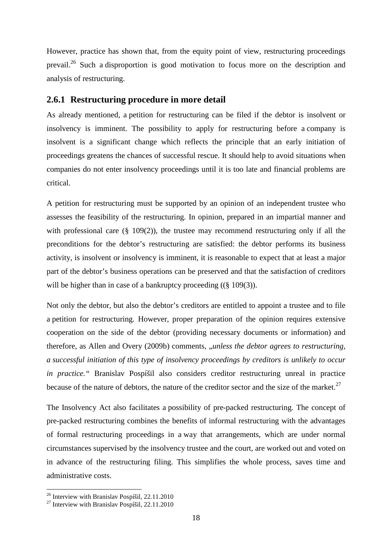However, practice has shown that, from the equity point of view, restructuring proceedings prevail.<sup>26</sup> Such a disproportion is good motivation to focus more on the description and analysis of restructuring.

#### **2.6.1 Restructuring procedure in more detail**

As already mentioned, a petition for restructuring can be filed if the debtor is insolvent or insolvency is imminent. The possibility to apply for restructuring before a company is insolvent is a significant change which reflects the principle that an early initiation of proceedings greatens the chances of successful rescue. It should help to avoid situations when companies do not enter insolvency proceedings until it is too late and financial problems are critical.

A petition for restructuring must be supported by an opinion of an independent trustee who assesses the feasibility of the restructuring. In opinion, prepared in an impartial manner and with professional care  $(\S 109(2))$ , the trustee may recommend restructuring only if all the preconditions for the debtor's restructuring are satisfied: the debtor performs its business activity, is insolvent or insolvency is imminent, it is reasonable to expect that at least a major part of the debtor's business operations can be preserved and that the satisfaction of creditors will be higher than in case of a bankruptcy proceeding ((§ 109(3)).

Not only the debtor, but also the debtor's creditors are entitled to appoint a trustee and to file a petition for restructuring. However, proper preparation of the opinion requires extensive cooperation on the side of the debtor (providing necessary documents or information) and therefore, as Allen and Overy (2009b) comments, *"unless the debtor agrees to restructuring*, *a successful initiation of this type of insolvency proceedings by creditors is unlikely to occur in practice."* Branislav Pospíšil also considers creditor restructuring unreal in practice because of the nature of debtors, the nature of the creditor sector and the size of the market. $27$ 

The Insolvency Act also facilitates a possibility of pre-packed restructuring. The concept of pre-packed restructuring combines the benefits of informal restructuring with the advantages of formal restructuring proceedings in a way that arrangements, which are under normal circumstances supervised by the insolvency trustee and the court, are worked out and voted on in advance of the restructuring filing. This simplifies the whole process, saves time and administrative costs.

<sup>26</sup> Interview with Branislav Pospíšil, 22.11.2010

 $^{27}$  Interview with Branislav Pospíšil, 22.11.2010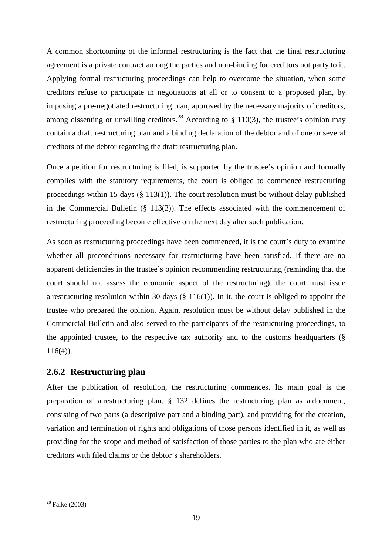A common shortcoming of the informal restructuring is the fact that the final restructuring agreement is a private contract among the parties and non-binding for creditors not party to it. Applying formal restructuring proceedings can help to overcome the situation, when some creditors refuse to participate in negotiations at all or to consent to a proposed plan, by imposing a pre-negotiated restructuring plan, approved by the necessary majority of creditors, among dissenting or unwilling creditors.<sup>28</sup> According to § 110(3), the trustee's opinion may contain a draft restructuring plan and a binding declaration of the debtor and of one or several creditors of the debtor regarding the draft restructuring plan.

Once a petition for restructuring is filed, is supported by the trustee's opinion and formally complies with the statutory requirements, the court is obliged to commence restructuring proceedings within 15 days  $(\S 113(1))$ . The court resolution must be without delay published in the Commercial Bulletin (§ 113(3)). The effects associated with the commencement of restructuring proceeding become effective on the next day after such publication.

As soon as restructuring proceedings have been commenced, it is the court's duty to examine whether all preconditions necessary for restructuring have been satisfied. If there are no apparent deficiencies in the trustee's opinion recommending restructuring (reminding that the court should not assess the economic aspect of the restructuring), the court must issue a restructuring resolution within 30 days (§ 116(1)). In it, the court is obliged to appoint the trustee who prepared the opinion. Again, resolution must be without delay published in the Commercial Bulletin and also served to the participants of the restructuring proceedings, to the appointed trustee, to the respective tax authority and to the customs headquarters  $(\S$ 116(4)).

### **2.6.2 Restructuring plan**

After the publication of resolution, the restructuring commences. Its main goal is the preparation of a restructuring plan. § 132 defines the restructuring plan as a document, consisting of two parts (a descriptive part and a binding part), and providing for the creation, variation and termination of rights and obligations of those persons identified in it, as well as providing for the scope and method of satisfaction of those parties to the plan who are either creditors with filed claims or the debtor's shareholders.

 $\overline{a}$ <sup>28</sup> Falke (2003)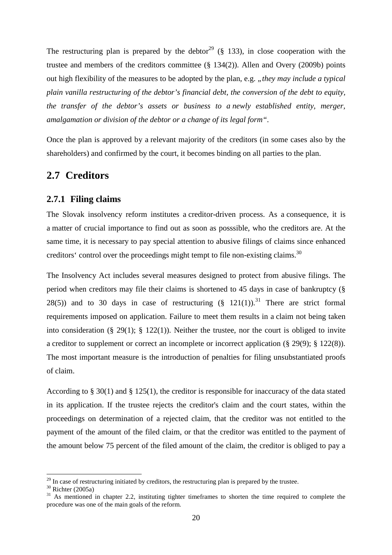The restructuring plan is prepared by the debtor<sup>29</sup> (§ 133), in close cooperation with the trustee and members of the creditors committee (§ 134(2)). Allen and Overy (2009b) points out high flexibility of the measures to be adopted by the plan, e.g. "*they may include a typical plain vanilla restructuring of the debtor's financial debt, the conversion of the debt to equity, the transfer of the debtor's assets or business to a newly established entity, merger, amalgamation or division of the debtor or a change of its legal form".* 

Once the plan is approved by a relevant majority of the creditors (in some cases also by the shareholders) and confirmed by the court, it becomes binding on all parties to the plan.

### **2.7 Creditors**

### **2.7.1 Filing claims**

The Slovak insolvency reform institutes a creditor-driven process. As a consequence, it is a matter of crucial importance to find out as soon as posssible, who the creditors are. At the same time, it is necessary to pay special attention to abusive filings of claims since enhanced creditors' control over the proceedings might tempt to file non-existing claims.<sup>30</sup>

The Insolvency Act includes several measures designed to protect from abusive filings. The period when creditors may file their claims is shortened to 45 days in case of bankruptcy (§ 28(5)) and to 30 days in case of restructuring  $(§ 121(1))$ .<sup>31</sup> There are strict formal requirements imposed on application. Failure to meet them results in a claim not being taken into consideration (§ 29(1); § 122(1)). Neither the trustee, nor the court is obliged to invite a creditor to supplement or correct an incomplete or incorrect application (§ 29(9); § 122(8)). The most important measure is the introduction of penalties for filing unsubstantiated proofs of claim.

According to § 30(1) and § 125(1), the creditor is responsible for inaccuracy of the data stated in its application. If the trustee rejects the creditor's claim and the court states, within the proceedings on determination of a rejected claim, that the creditor was not entitled to the payment of the amount of the filed claim, or that the creditor was entitled to the payment of the amount below 75 percent of the filed amount of the claim, the creditor is obliged to pay a

 $29$  In case of restructuring initiated by creditors, the restructuring plan is prepared by the trustee.

 $30$  Richter (2005a)

<sup>&</sup>lt;sup>31</sup> As mentioned in chapter 2.2, instituting tighter timeframes to shorten the time required to complete the procedure was one of the main goals of the reform.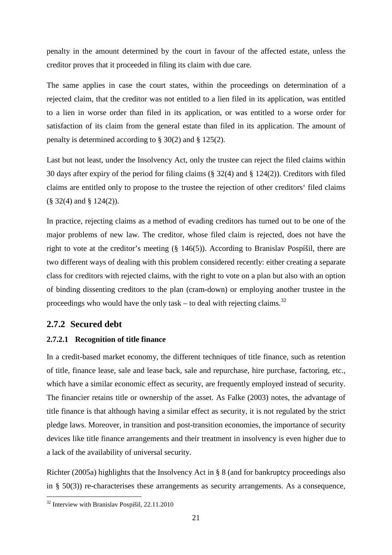penalty in the amount determined by the court in favour of the affected estate, unless the creditor proves that it proceeded in filing its claim with due care.

The same applies in case the court states, within the proceedings on determination of a rejected claim, that the creditor was not entitled to a lien filed in its application, was entitled to a lien in worse order than filed in its application, or was entitled to a worse order for satisfaction of its claim from the general estate than filed in its application. The amount of penalty is determined according to § 30(2) and § 125(2).

Last but not least, under the Insolvency Act, only the trustee can reject the filed claims within 30 days after expiry of the period for filing claims (§ 32(4) and § 124(2)). Creditors with filed claims are entitled only to propose to the trustee the rejection of other creditors' filed claims (§ 32(4) and § 124(2)).

In practice, rejecting claims as a method of evading creditors has turned out to be one of the major problems of new law. The creditor, whose filed claim is rejected, does not have the right to vote at the creditor's meeting (§ 146(5)). According to Branislav Pospíšil, there are two different ways of dealing with this problem considered recently: either creating a separate class for creditors with rejected claims, with the right to vote on a plan but also with an option of binding dissenting creditors to the plan (cram-down) or employing another trustee in the proceedings who would have the only task – to deal with rejecting claims.<sup>32</sup>

### **2.7.2 Secured debt**

### **2.7.2.1 Recognition of title finance**

In a credit-based market economy, the different techniques of title finance, such as retention of title, finance lease, sale and lease back, sale and repurchase, hire purchase, factoring, etc., which have a similar economic effect as security, are frequently employed instead of security. The financier retains title or ownership of the asset. As Falke (2003) notes, the advantage of title finance is that although having a similar effect as security, it is not regulated by the strict pledge laws. Moreover, in transition and post-transition economies, the importance of security devices like title finance arrangements and their treatment in insolvency is even higher due to a lack of the availability of universal security.

Richter (2005a) highlights that the Insolvency Act in § 8 (and for bankruptcy proceedings also in § 50(3)) re-characterises these arrangements as security arrangements. As a consequence,

<sup>&</sup>lt;sup>32</sup> Interview with Branislav Pospíšil, 22.11.2010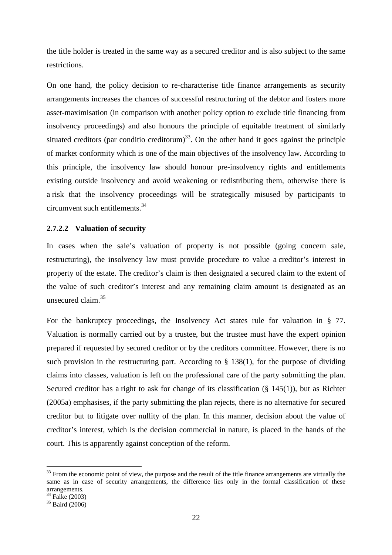the title holder is treated in the same way as a secured creditor and is also subject to the same restrictions.

On one hand, the policy decision to re-characterise title finance arrangements as security arrangements increases the chances of successful restructuring of the debtor and fosters more asset-maximisation (in comparison with another policy option to exclude title financing from insolvency proceedings) and also honours the principle of equitable treatment of similarly situated creditors (par conditio creditorum)<sup>33</sup>. On the other hand it goes against the principle of market conformity which is one of the main objectives of the insolvency law. According to this principle, the insolvency law should honour pre-insolvency rights and entitlements existing outside insolvency and avoid weakening or redistributing them, otherwise there is a risk that the insolvency proceedings will be strategically misused by participants to circumvent such entitlements.<sup>34</sup>

#### **2.7.2.2 Valuation of security**

In cases when the sale's valuation of property is not possible (going concern sale, restructuring), the insolvency law must provide procedure to value a creditor's interest in property of the estate. The creditor's claim is then designated a secured claim to the extent of the value of such creditor's interest and any remaining claim amount is designated as an unsecured claim.<sup>35</sup>

For the bankruptcy proceedings, the Insolvency Act states rule for valuation in § 77. Valuation is normally carried out by a trustee, but the trustee must have the expert opinion prepared if requested by secured creditor or by the creditors committee. However, there is no such provision in the restructuring part. According to  $\S$  138(1), for the purpose of dividing claims into classes, valuation is left on the professional care of the party submitting the plan. Secured creditor has a right to ask for change of its classification (§ 145(1)), but as Richter (2005a) emphasises, if the party submitting the plan rejects, there is no alternative for secured creditor but to litigate over nullity of the plan. In this manner, decision about the value of creditor's interest, which is the decision commercial in nature, is placed in the hands of the court. This is apparently against conception of the reform.

<sup>&</sup>lt;sup>33</sup> From the economic point of view, the purpose and the result of the title finance arrangements are virtually the same as in case of security arrangements, the difference lies only in the formal classification of these arrangements.

 $34$  Falke (2003)

 $35$  Baird (2006)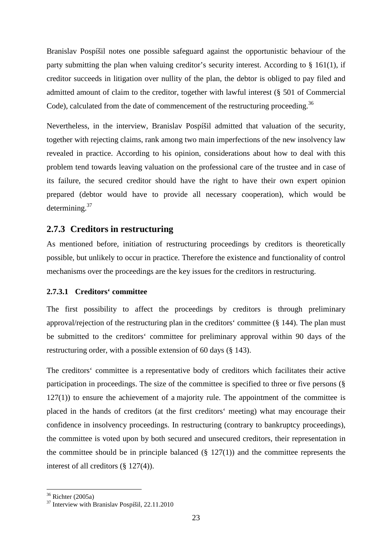Branislav Pospíšil notes one possible safeguard against the opportunistic behaviour of the party submitting the plan when valuing creditor's security interest. According to  $\S$  161(1), if creditor succeeds in litigation over nullity of the plan, the debtor is obliged to pay filed and admitted amount of claim to the creditor, together with lawful interest (§ 501 of Commercial Code), calculated from the date of commencement of the restructuring proceeding.<sup>36</sup>

Nevertheless, in the interview, Branislav Pospíšil admitted that valuation of the security, together with rejecting claims, rank among two main imperfections of the new insolvency law revealed in practice. According to his opinion, considerations about how to deal with this problem tend towards leaving valuation on the professional care of the trustee and in case of its failure, the secured creditor should have the right to have their own expert opinion prepared (debtor would have to provide all necessary cooperation), which would be determining.<sup>37</sup>

### **2.7.3 Creditors in restructuring**

As mentioned before, initiation of restructuring proceedings by creditors is theoretically possible, but unlikely to occur in practice. Therefore the existence and functionality of control mechanisms over the proceedings are the key issues for the creditors in restructuring.

### **2.7.3.1 Creditors' committee**

The first possibility to affect the proceedings by creditors is through preliminary approval/rejection of the restructuring plan in the creditors' committee (§ 144). The plan must be submitted to the creditors' committee for preliminary approval within 90 days of the restructuring order, with a possible extension of 60 days (§ 143).

The creditors' committee is a representative body of creditors which facilitates their active participation in proceedings. The size of the committee is specified to three or five persons (§  $127(1)$ ) to ensure the achievement of a majority rule. The appointment of the committee is placed in the hands of creditors (at the first creditors' meeting) what may encourage their confidence in insolvency proceedings. In restructuring (contrary to bankruptcy proceedings), the committee is voted upon by both secured and unsecured creditors, their representation in the committee should be in principle balanced  $(\S 127(1))$  and the committee represents the interest of all creditors (§ 127(4)).

 $36$  Richter (2005a)

<sup>37</sup> Interview with Branislav Pospíšil, 22.11.2010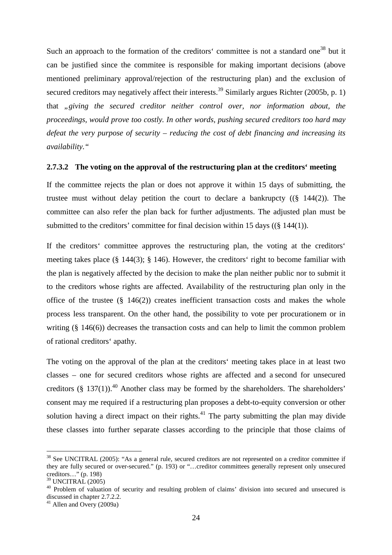Such an approach to the formation of the creditors' committee is not a standard one<sup>38</sup> but it can be justified since the commitee is responsible for making important decisions (above mentioned preliminary approval/rejection of the restructuring plan) and the exclusion of secured creditors may negatively affect their interests.<sup>39</sup> Similarly argues Richter (2005b, p. 1) that *"giving the secured creditor neither control over, nor information about, the proceedings, would prove too costly. In other words, pushing secured creditors too hard may defeat the very purpose of security – reducing the cost of debt financing and increasing its availability."* 

#### **2.7.3.2 The voting on the approval of the restructuring plan at the creditors' meeting**

If the committee rejects the plan or does not approve it within 15 days of submitting, the trustee must without delay petition the court to declare a bankrupcty ((§ 144(2)). The committee can also refer the plan back for further adjustments. The adjusted plan must be submitted to the creditors' committee for final decision within 15 days  $((\S 144(1))$ .

If the creditors' committee approves the restructuring plan, the voting at the creditors' meeting takes place (§ 144(3); § 146). However, the creditors' right to become familiar with the plan is negatively affected by the decision to make the plan neither public nor to submit it to the creditors whose rights are affected. Availability of the restructuring plan only in the office of the trustee  $(\S$  146(2)) creates inefficient transaction costs and makes the whole process less transparent. On the other hand, the possibility to vote per procurationem or in writing (§ 146(6)) decreases the transaction costs and can help to limit the common problem of rational creditors' apathy.

The voting on the approval of the plan at the creditors' meeting takes place in at least two classes – one for secured creditors whose rights are affected and a second for unsecured creditors (§ 137(1)).<sup>40</sup> Another class may be formed by the shareholders. The shareholders' consent may me required if a restructuring plan proposes a debt-to-equity conversion or other solution having a direct impact on their rights.<sup>41</sup> The party submitting the plan may divide these classes into further separate classes according to the principle that those claims of

<sup>&</sup>lt;sup>38</sup> See UNCITRAL (2005): "As a general rule, secured creditors are not represented on a creditor committee if they are fully secured or over-secured." (p. 193) or "…creditor committees generally represent only unsecured creditors…" (p. 198)

 $39$  UNCITRAL  $(2005)$ 

<sup>&</sup>lt;sup>40</sup> Problem of valuation of security and resulting problem of claims' division into secured and unsecured is discussed in chapter 2.7.2.2.

 $41$  Allen and Overy (2009a)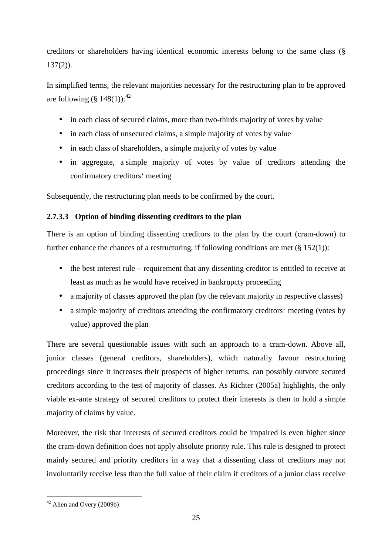creditors or shareholders having identical economic interests belong to the same class (§  $137(2)$ ).

In simplified terms, the relevant majorities necessary for the restructuring plan to be approved are following  $(\S$  148(1)):<sup>42</sup>

- in each class of secured claims, more than two-thirds majority of votes by value
- in each class of unsecured claims, a simple majority of votes by value
- in each class of shareholders, a simple majority of votes by value
- in aggregate, a simple majority of votes by value of creditors attending the confirmatory creditors' meeting

Subsequently, the restructuring plan needs to be confirmed by the court.

### **2.7.3.3 Option of binding dissenting creditors to the plan**

There is an option of binding dissenting creditors to the plan by the court (cram-down) to further enhance the chances of a restructuring, if following conditions are met  $(\S 152(1))$ :

- the best interest rule requirement that any dissenting creditor is entitled to receive at least as much as he would have received in bankrupcty proceeding
- a majority of classes approved the plan (by the relevant majority in respective classes)
- a simple majority of creditors attending the confirmatory creditors' meeting (votes by value) approved the plan

There are several questionable issues with such an approach to a cram-down. Above all, junior classes (general creditors, shareholders), which naturally favour restructuring proceedings since it increases their prospects of higher returns, can possibly outvote secured creditors according to the test of majority of classes. As Richter (2005a) highlights, the only viable ex-ante strategy of secured creditors to protect their interests is then to hold a simple majority of claims by value.

Moreover, the risk that interests of secured creditors could be impaired is even higher since the cram-down definition does not apply absolute priority rule. This rule is designed to protect mainly secured and priority creditors in a way that a dissenting class of creditors may not involuntarily receive less than the full value of their claim if creditors of a junior class receive

 $\overline{a}$  $42$  Allen and Overy (2009b)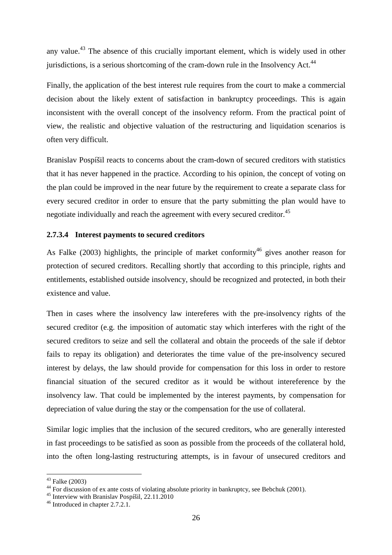any value.<sup>43</sup> The absence of this crucially important element, which is widely used in other jurisdictions, is a serious shortcoming of the cram-down rule in the Insolvency Act.<sup>44</sup>

Finally, the application of the best interest rule requires from the court to make a commercial decision about the likely extent of satisfaction in bankruptcy proceedings. This is again inconsistent with the overall concept of the insolvency reform. From the practical point of view, the realistic and objective valuation of the restructuring and liquidation scenarios is often very difficult.

Branislav Pospíšil reacts to concerns about the cram-down of secured creditors with statistics that it has never happened in the practice. According to his opinion, the concept of voting on the plan could be improved in the near future by the requirement to create a separate class for every secured creditor in order to ensure that the party submitting the plan would have to negotiate individually and reach the agreement with every secured creditor.<sup>45</sup>

#### **2.7.3.4 Interest payments to secured creditors**

As Falke (2003) highlights, the principle of market conformity<sup>46</sup> gives another reason for protection of secured creditors. Recalling shortly that according to this principle, rights and entitlements, established outside insolvency, should be recognized and protected, in both their existence and value.

Then in cases where the insolvency law intereferes with the pre-insolvency rights of the secured creditor (e.g. the imposition of automatic stay which interferes with the right of the secured creditors to seize and sell the collateral and obtain the proceeds of the sale if debtor fails to repay its obligation) and deteriorates the time value of the pre-insolvency secured interest by delays, the law should provide for compensation for this loss in order to restore financial situation of the secured creditor as it would be without intereference by the insolvency law. That could be implemented by the interest payments, by compensation for depreciation of value during the stay or the compensation for the use of collateral.

Similar logic implies that the inclusion of the secured creditors, who are generally interested in fast proceedings to be satisfied as soon as possible from the proceeds of the collateral hold, into the often long-lasting restructuring attempts, is in favour of unsecured creditors and

 $43$  Falke (2003)

<sup>&</sup>lt;sup>44</sup> For discussion of ex ante costs of violating absolute priority in bankruptcy, see Bebchuk (2001).

<sup>45</sup> Interview with Branislav Pospíšil, 22.11.2010

<sup>46</sup> Introduced in chapter 2.7.2.1.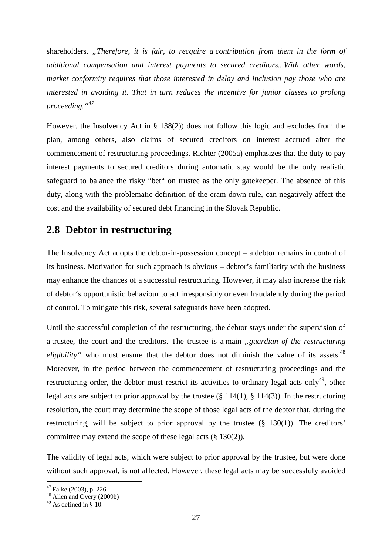shareholders. "Therefore, it is fair, to recquire a contribution from them in the form of *additional compensation and interest payments to secured creditors...With other words, market conformity requires that those interested in delay and inclusion pay those who are interested in avoiding it. That in turn reduces the incentive for junior classes to prolong proceeding."<sup>47</sup>*

However, the Insolvency Act in § 138(2)) does not follow this logic and excludes from the plan, among others, also claims of secured creditors on interest accrued after the commencement of restructuring proceedings. Richter (2005a) emphasizes that the duty to pay interest payments to secured creditors during automatic stay would be the only realistic safeguard to balance the risky "bet" on trustee as the only gatekeeper. The absence of this duty, along with the problematic definition of the cram-down rule, can negatively affect the cost and the availability of secured debt financing in the Slovak Republic.

## **2.8 Debtor in restructuring**

The Insolvency Act adopts the debtor-in-possession concept – a debtor remains in control of its business. Motivation for such approach is obvious – debtor's familiarity with the business may enhance the chances of a successful restructuring. However, it may also increase the risk of debtor's opportunistic behaviour to act irresponsibly or even fraudalently during the period of control. To mitigate this risk, several safeguards have been adopted.

Until the successful completion of the restructuring, the debtor stays under the supervision of a trustee, the court and the creditors. The trustee is a main *"guardian of the restructuring eligibility*" who must ensure that the debtor does not diminish the value of its assets.<sup>48</sup> Moreover, in the period between the commencement of restructuring proceedings and the restructuring order, the debtor must restrict its activities to ordinary legal acts only<sup>49</sup>, other legal acts are subject to prior approval by the trustee  $(\S 114(1), \S 114(3))$ . In the restructuring resolution, the court may determine the scope of those legal acts of the debtor that, during the restructuring, will be subject to prior approval by the trustee (§ 130(1)). The creditors' committee may extend the scope of these legal acts (§ 130(2)).

The validity of legal acts, which were subject to prior approval by the trustee, but were done without such approval, is not affected. However, these legal acts may be successfuly avoided

 $47$  Falke (2003), p. 226

<sup>48</sup> Allen and Overy (2009b)

 $49$  As defined in § 10.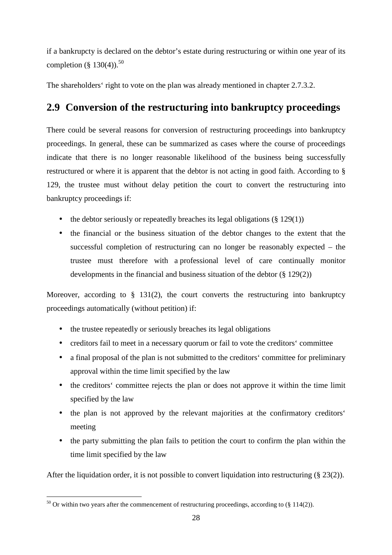if a bankrupcty is declared on the debtor's estate during restructuring or within one year of its completion (§ 130(4)).<sup>50</sup>

The shareholders' right to vote on the plan was already mentioned in chapter 2.7.3.2.

## **2.9 Conversion of the restructuring into bankruptcy proceedings**

There could be several reasons for conversion of restructuring proceedings into bankruptcy proceedings. In general, these can be summarized as cases where the course of proceedings indicate that there is no longer reasonable likelihood of the business being successfully restructured or where it is apparent that the debtor is not acting in good faith. According to § 129, the trustee must without delay petition the court to convert the restructuring into bankruptcy proceedings if:

- the debtor seriously or repeatedly breaches its legal obligations  $(\S 129(1))$
- the financial or the business situation of the debtor changes to the extent that the successful completion of restructuring can no longer be reasonably expected – the trustee must therefore with a professional level of care continually monitor developments in the financial and business situation of the debtor (§ 129(2))

Moreover, according to  $\S$  131(2), the court converts the restructuring into bankruptcy proceedings automatically (without petition) if:

- the trustee repeatedly or seriously breaches its legal obligations
- creditors fail to meet in a necessary quorum or fail to vote the creditors' committee
- a final proposal of the plan is not submitted to the creditors' committee for preliminary approval within the time limit specified by the law
- the creditors' committee rejects the plan or does not approve it within the time limit specified by the law
- the plan is not approved by the relevant majorities at the confirmatory creditors' meeting
- the party submitting the plan fails to petition the court to confirm the plan within the time limit specified by the law

After the liquidation order, it is not possible to convert liquidation into restructuring (§ 23(2)).

 $50$  Or within two years after the commencement of restructuring proceedings, according to (§ 114(2)).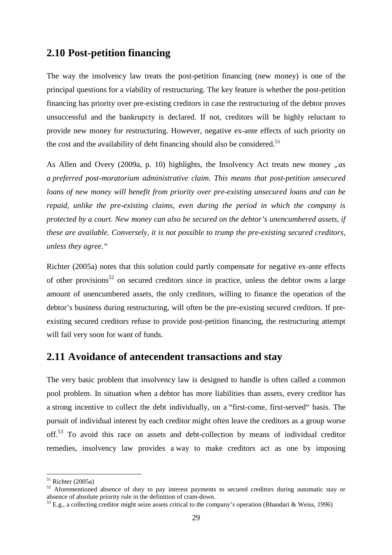# **2.10 Post-petition financing**

The way the insolvency law treats the post-petition financing (new money) is one of the principal questions for a viability of restructuring. The key feature is whether the post-petition financing has priority over pre-existing creditors in case the restructuring of the debtor proves unsuccessful and the bankrupcty is declared. If not, creditors will be highly reluctant to provide new money for restructuring. However, negative ex-ante effects of such priority on the cost and the availability of debt financing should also be considered.<sup>51</sup>

As Allen and Overy (2009a, p. 10) highlights, the Insolvency Act treats new money "as *a preferred post-moratorium administrative claim. This means that post-petition unsecured loans of new money will benefit from priority over pre-existing unsecured loans and can be repaid, unlike the pre-existing claims, even during the period in which the company is protected by a court. New money can also be secured on the debtor's unencumbered assets, if these are available. Conversely, it is not possible to trump the pre-existing secured creditors, unless they agree."* 

Richter (2005a) notes that this solution could partly compensate for negative ex-ante effects of other provisions<sup>52</sup> on secured creditors since in practice, unless the debtor owns a large amount of unencumbered assets, the only creditors, willing to finance the operation of the debtor's business during restructuring, will often be the pre-existing secured creditors. If preexisting secured creditors refuse to provide post-petition financing, the restructuring attempt will fail very soon for want of funds.

# **2.11 Avoidance of antecendent transactions and stay**

The very basic problem that insolvency law is designed to handle is often called a common pool problem. In situation when a debtor has more liabilities than assets, every creditor has a strong incentive to collect the debt individually, on a "first-come, first-served" basis. The pursuit of individual interest by each creditor might often leave the creditors as a group worse off.<sup>53</sup> To avoid this race on assets and debt-collection by means of individual creditor remedies, insolvency law provides a way to make creditors act as one by imposing

 $51$  Richter (2005a)

<sup>&</sup>lt;sup>52</sup> Aforementioned absence of duty to pay interest payments to secured creditors during automatic stay or absence of absolute priority rule in the definition of cram-down.

<sup>53</sup> E.g., a collecting creditor might seize assets critical to the company's operation (Bhandari & Weiss, 1996)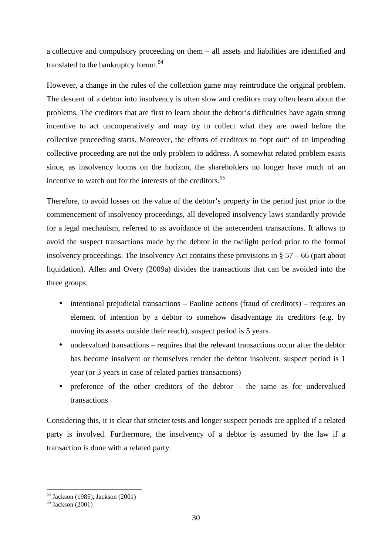a collective and compulsory proceeding on them – all assets and liabilities are identified and translated to the bankruptcy forum.<sup>54</sup>

However, a change in the rules of the collection game may reintroduce the original problem. The descent of a debtor into insolvency is often slow and creditors may often learn about the problems. The creditors that are first to learn about the debtor's difficulties have again strong incentive to act uncooperatively and may try to collect what they are owed before the collective proceeding starts. Moreover, the efforts of creditors to "opt out" of an impending collective proceeding are not the only problem to address. A somewhat related problem exists since, as insolvency looms on the horizon, the shareholders no longer have much of an incentive to watch out for the interests of the creditors.<sup>55</sup>

Therefore, to avoid losses on the value of the debtor's property in the period just prior to the commencement of insolvency proceedings, all developed insolvency laws standardly provide for a legal mechanism, referred to as avoidance of the antecendent transactions. It allows to avoid the suspect transactions made by the debtor in the twilight period prior to the formal insolvency proceedings. The Insolvency Act contains these provisions in  $\S 57 - 66$  (part about liquidation). Allen and Overy (2009a) divides the transactions that can be avoided into the three groups:

- intentional prejudicial transactions Pauline actions (fraud of creditors) requires an element of intention by a debtor to somehow disadvantage its creditors (e.g. by moving its assets outside their reach), suspect period is 5 years
- undervalued transactions requires that the relevant transactions occur after the debtor has become insolvent or themselves render the debtor insolvent, suspect period is 1 year (or 3 years in case of related parties transactions)
- preference of the other creditors of the debtor the same as for undervalued transactions

Considering this, it is clear that stricter tests and longer suspect periods are applied if a related party is involved. Furthermore, the insolvency of a debtor is assumed by the law if a transaction is done with a related party.

<sup>54</sup> Jackson (1985), Jackson (2001)

<sup>55</sup> Jackson (2001)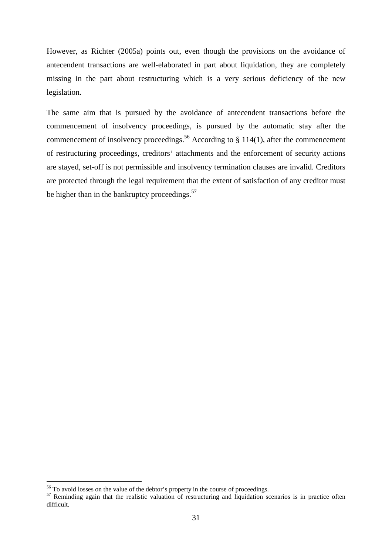However, as Richter (2005a) points out, even though the provisions on the avoidance of antecendent transactions are well-elaborated in part about liquidation, they are completely missing in the part about restructuring which is a very serious deficiency of the new legislation.

The same aim that is pursued by the avoidance of antecendent transactions before the commencement of insolvency proceedings, is pursued by the automatic stay after the commencement of insolvency proceedings.<sup>56</sup> According to  $\S$  114(1), after the commencement of restructuring proceedings, creditors' attachments and the enforcement of security actions are stayed, set-off is not permissible and insolvency termination clauses are invalid. Creditors are protected through the legal requirement that the extent of satisfaction of any creditor must be higher than in the bankruptcy proceedings. $57$ 

<sup>&</sup>lt;sup>56</sup> To avoid losses on the value of the debtor's property in the course of proceedings.

<sup>&</sup>lt;sup>57</sup> Reminding again that the realistic valuation of restructuring and liquidation scenarios is in practice often difficult.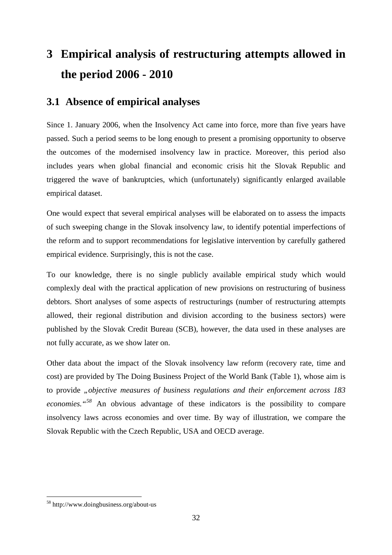# **3 Empirical analysis of restructuring attempts allowed in the period 2006 - 2010**

# **3.1 Absence of empirical analyses**

Since 1. January 2006, when the Insolvency Act came into force, more than five years have passed. Such a period seems to be long enough to present a promising opportunity to observe the outcomes of the modernised insolvency law in practice. Moreover, this period also includes years when global financial and economic crisis hit the Slovak Republic and triggered the wave of bankruptcies, which (unfortunately) significantly enlarged available empirical dataset.

One would expect that several empirical analyses will be elaborated on to assess the impacts of such sweeping change in the Slovak insolvency law, to identify potential imperfections of the reform and to support recommendations for legislative intervention by carefully gathered empirical evidence. Surprisingly, this is not the case.

To our knowledge, there is no single publicly available empirical study which would complexly deal with the practical application of new provisions on restructuring of business debtors. Short analyses of some aspects of restructurings (number of restructuring attempts allowed, their regional distribution and division according to the business sectors) were published by the Slovak Credit Bureau (SCB), however, the data used in these analyses are not fully accurate, as we show later on.

Other data about the impact of the Slovak insolvency law reform (recovery rate, time and cost) are provided by The Doing Business Project of the World Bank (Table 1), whose aim is to provide *"objective measures of business regulations and their enforcement across 183 economies."<sup>58</sup>* An obvious advantage of these indicators is the possibility to compare insolvency laws across economies and over time. By way of illustration, we compare the Slovak Republic with the Czech Republic, USA and OECD average.

<sup>58</sup> http://www.doingbusiness.org/about-us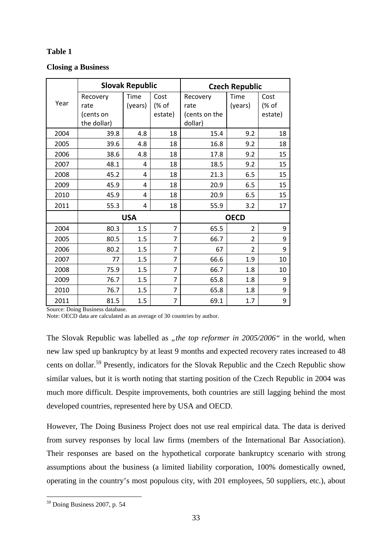# **Table 1**

# **Closing a Business**

|      | <b>Slovak Republic</b>                       |                 |                          | <b>Czech Republic</b>                        |                 |                          |
|------|----------------------------------------------|-----------------|--------------------------|----------------------------------------------|-----------------|--------------------------|
| Year | Recovery<br>rate<br>(cents on<br>the dollar) | Time<br>(years) | Cost<br>(% of<br>estate) | Recovery<br>rate<br>(cents on the<br>dollar) | Time<br>(years) | Cost<br>(% of<br>estate) |
| 2004 | 39.8                                         | 4.8             | 18                       | 15.4                                         | 9.2             | 18                       |
| 2005 | 39.6                                         | 4.8             | 18                       | 16.8                                         | 9.2             | 18                       |
| 2006 | 38.6                                         | 4.8             | 18                       | 17.8                                         | 9.2             | 15                       |
| 2007 | 48.1                                         | 4               | 18                       | 18.5                                         | 9.2             | 15                       |
| 2008 | 45.2                                         | 4               | 18                       | 21.3                                         | 6.5             | 15                       |
| 2009 | 45.9                                         | 4               | 18                       | 20.9                                         | 6.5             | 15                       |
| 2010 | 45.9                                         | 4               | 18                       | 20.9                                         | 6.5             | 15                       |
| 2011 | 55.3                                         | 4               | 18                       | 55.9                                         | 3.2             | 17                       |
|      | <b>USA</b>                                   |                 |                          | <b>OECD</b>                                  |                 |                          |
| 2004 | 80.3                                         | 1.5             | 7                        | 65.5                                         | $\overline{2}$  | 9                        |
| 2005 | 80.5                                         | 1.5             | 7                        | 66.7                                         | $\overline{2}$  | 9                        |
| 2006 | 80.2                                         | 1.5             | 7                        | 67                                           | 2               | 9                        |
| 2007 | 77                                           | 1.5             | 7                        | 66.6                                         | 1.9             | 10                       |
| 2008 | 75.9                                         | 1.5             | 7                        | 66.7                                         | 1.8             | 10                       |
| 2009 | 76.7                                         | 1.5             | 7                        | 65.8                                         | 1.8             | 9                        |
| 2010 | 76.7                                         | 1.5             | 7                        | 65.8                                         | 1.8             | 9                        |
| 2011 | 81.5                                         | 1.5             | 7                        | 69.1                                         | 1.7             | 9                        |

Source: Doing Business database.

Note: OECD data are calculated as an average of 30 countries by author.

The Slovak Republic was labelled as *"the top reformer in 2005/2006*" in the world, when new law sped up bankruptcy by at least 9 months and expected recovery rates increased to 48 cents on dollar.<sup>59</sup> Presently, indicators for the Slovak Republic and the Czech Republic show similar values, but it is worth noting that starting position of the Czech Republic in 2004 was much more difficult. Despite improvements, both countries are still lagging behind the most developed countries, represented here by USA and OECD.

However, The Doing Business Project does not use real empirical data. The data is derived from survey responses by local law firms (members of the International Bar Association). Their responses are based on the hypothetical corporate bankruptcy scenario with strong assumptions about the business (a limited liability corporation, 100% domestically owned, operating in the country's most populous city, with 201 employees, 50 suppliers, etc.), about

 $\overline{a}$ <sup>59</sup> Doing Business 2007, p. 54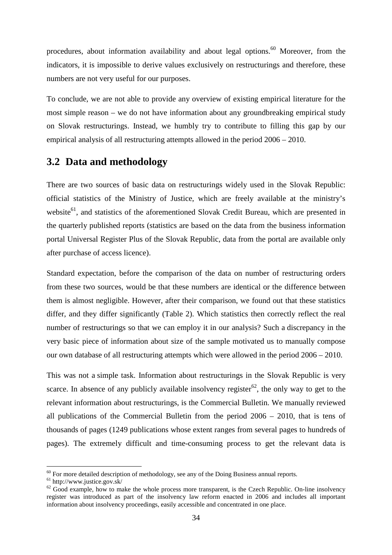procedures, about information availability and about legal options.<sup>60</sup> Moreover, from the indicators, it is impossible to derive values exclusively on restructurings and therefore, these numbers are not very useful for our purposes.

To conclude, we are not able to provide any overview of existing empirical literature for the most simple reason – we do not have information about any groundbreaking empirical study on Slovak restructurings. Instead, we humbly try to contribute to filling this gap by our empirical analysis of all restructuring attempts allowed in the period 2006 – 2010.

# **3.2 Data and methodology**

There are two sources of basic data on restructurings widely used in the Slovak Republic: official statistics of the Ministry of Justice, which are freely available at the ministry's website<sup>61</sup>, and statistics of the aforementioned Slovak Credit Bureau, which are presented in the quarterly published reports (statistics are based on the data from the business information portal Universal Register Plus of the Slovak Republic, data from the portal are available only after purchase of access licence).

Standard expectation, before the comparison of the data on number of restructuring orders from these two sources, would be that these numbers are identical or the difference between them is almost negligible. However, after their comparison, we found out that these statistics differ, and they differ significantly (Table 2). Which statistics then correctly reflect the real number of restructurings so that we can employ it in our analysis? Such a discrepancy in the very basic piece of information about size of the sample motivated us to manually compose our own database of all restructuring attempts which were allowed in the period 2006 – 2010.

This was not a simple task. Information about restructurings in the Slovak Republic is very scarce. In absence of any publicly available insolvency register<sup>62</sup>, the only way to get to the relevant information about restructurings, is the Commercial Bulletin. We manually reviewed all publications of the Commercial Bulletin from the period 2006 – 2010, that is tens of thousands of pages (1249 publications whose extent ranges from several pages to hundreds of pages). The extremely difficult and time-consuming process to get the relevant data is

 $60$  For more detailed description of methodology, see any of the Doing Business annual reports.

 $61$  http://www.justice.gov.sk/

 $62$  Good example, how to make the whole process more transparent, is the Czech Republic. On-line insolvency register was introduced as part of the insolvency law reform enacted in 2006 and includes all important information about insolvency proceedings, easily accessible and concentrated in one place.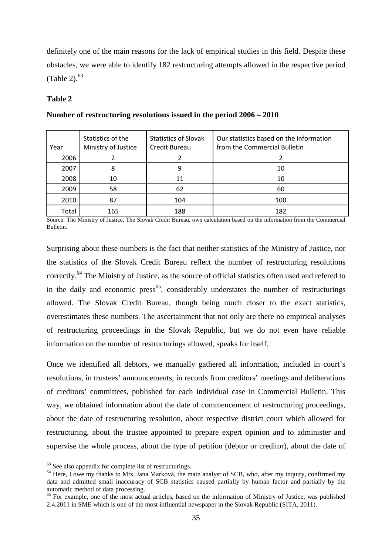definitely one of the main reasons for the lack of empirical studies in this field. Despite these obstacles, we were able to identify 182 restructuring attempts allowed in the respective period (Table 2). $63$ 

#### **Table 2**

| Year  | Statistics of the<br>Ministry of Justice | <b>Statistics of Slovak</b><br>Credit Bureau | Our statistics based on the information<br>from the Commercial Bulletin |
|-------|------------------------------------------|----------------------------------------------|-------------------------------------------------------------------------|
| 2006  |                                          |                                              |                                                                         |
| 2007  | 8                                        | q                                            | 10                                                                      |
| 2008  | 10                                       | 11                                           | 10                                                                      |
| 2009  | 58                                       | 62                                           | 60                                                                      |
| 2010  | 87                                       | 104                                          | 100                                                                     |
| Total | 165                                      | 188                                          | 182                                                                     |

#### **Number of restructuring resolutions issued in the period 2006 – 2010**

Source: The Ministry of Justice, The Slovak Credit Bureau, own calculation based on the information from the Commercial Bulletin.

Surprising about these numbers is the fact that neither statistics of the Ministry of Justice, nor the statistics of the Slovak Credit Bureau reflect the number of restructuring resolutions correctly.<sup>64</sup> The Ministry of Justice, as the source of official statistics often used and refered to in the daily and economic press<sup>65</sup>, considerably understates the number of restructurings allowed. The Slovak Credit Bureau, though being much closer to the exact statistics, overestimates these numbers. The ascertainment that not only are there no empirical analyses of restructuring proceedings in the Slovak Republic, but we do not even have reliable information on the number of restructurings allowed, speaks for itself.

Once we identified all debtors, we manually gathered all information, included in court's resolutions, in trustees' announcements, in records from creditors' meetings and deliberations of creditors' committees, published for each individual case in Commercial Bulletin. This way, we obtained information about the date of commencement of restructuring proceedings, about the date of restructuring resolution, about respective district court which allowed for restructuring, about the trustee appointed to prepare expert opinion and to administer and supervise the whole process, about the type of petition (debtor or creditor), about the date of

 $63$  See also appendix for complete list of restructurings.

<sup>&</sup>lt;sup>64</sup> Here, I owe my thanks to Mrs. Jana Marková, the main analyst of SCB, who, after my inquiry, confirmed my data and admitted small inaccuracy of SCB statistics caused partially by human factor and partially by the automatic method of data processing.

<sup>&</sup>lt;sup>65</sup> For example, one of the most actual articles, based on the information of Ministry of Justice, was published 2.4.2011 in SME which is one of the most influential newspaper in the Slovak Republic (SITA, 2011).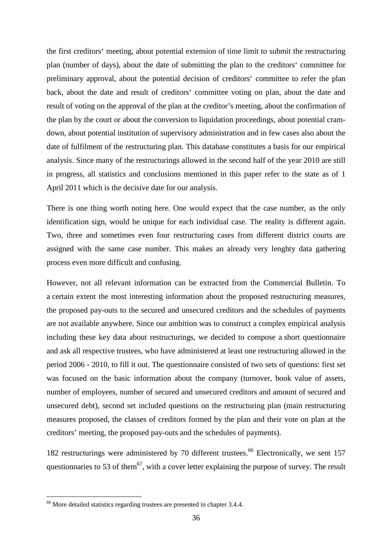the first creditors' meeting, about potential extension of time limit to submit the restructuring plan (number of days), about the date of submitting the plan to the creditors' committee for preliminary approval, about the potential decision of creditors' committee to refer the plan back, about the date and result of creditors' committee voting on plan, about the date and result of voting on the approval of the plan at the creditor's meeting, about the confirmation of the plan by the court or about the conversion to liquidation proceedings, about potential cramdown, about potential institution of supervisory administration and in few cases also about the date of fulfilment of the restructuring plan. This database constitutes a basis for our empirical analysis. Since many of the restructurings allowed in the second half of the year 2010 are still in progress, all statistics and conclusions mentioned in this paper refer to the state as of 1 April 2011 which is the decisive date for our analysis.

There is one thing worth noting here. One would expect that the case number, as the only identification sign, would be unique for each individual case. The reality is different again. Two, three and sometimes even four restructuring cases from different district courts are assigned with the same case number. This makes an already very lenghty data gathering process even more difficult and confusing.

However, not all relevant information can be extracted from the Commercial Bulletin. To a certain extent the most interesting information about the proposed restructuring measures, the proposed pay-outs to the secured and unsecured creditors and the schedules of payments are not available anywhere. Since our ambition was to construct a complex empirical analysis including these key data about restructurings, we decided to compose a short questionnaire and ask all respective trustees, who have administered at least one restructuring allowed in the period 2006 - 2010, to fill it out. The questionnaire consisted of two sets of questions: first set was focused on the basic information about the company (turnover, book value of assets, number of employees, number of secured and unsecured creditors and amount of secured and unsecured debt), second set included questions on the restructuring plan (main restructuring measures proposed, the classes of creditors formed by the plan and their vote on plan at the creditors' meeting, the proposed pay-outs and the schedules of payments).

182 restructurings were administered by 70 different trustees.<sup>66</sup> Electronically, we sent 157 questionnaries to 53 of them<sup>67</sup>, with a cover letter explaining the purpose of survey. The result

<sup>&</sup>lt;sup>66</sup> More detailed statistics regarding trustees are presented in chapter 3.4.4.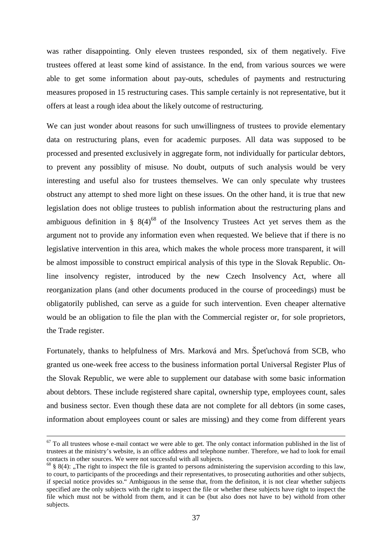was rather disappointing. Only eleven trustees responded, six of them negatively. Five trustees offered at least some kind of assistance. In the end, from various sources we were able to get some information about pay-outs, schedules of payments and restructuring measures proposed in 15 restructuring cases. This sample certainly is not representative, but it offers at least a rough idea about the likely outcome of restructuring.

We can just wonder about reasons for such unwillingness of trustees to provide elementary data on restructuring plans, even for academic purposes. All data was supposed to be processed and presented exclusively in aggregate form, not individually for particular debtors, to prevent any possiblity of misuse. No doubt, outputs of such analysis would be very interesting and useful also for trustees themselves. We can only speculate why trustees obstruct any attempt to shed more light on these issues. On the other hand, it is true that new legislation does not oblige trustees to publish information about the restructuring plans and ambiguous definition in §  $8(4)^{68}$  of the Insolvency Trustees Act yet serves them as the argument not to provide any information even when requested. We believe that if there is no legislative intervention in this area, which makes the whole process more transparent, it will be almost impossible to construct empirical analysis of this type in the Slovak Republic. Online insolvency register, introduced by the new Czech Insolvency Act, where all reorganization plans (and other documents produced in the course of proceedings) must be obligatorily published, can serve as a guide for such intervention. Even cheaper alternative would be an obligation to file the plan with the Commercial register or, for sole proprietors, the Trade register.

Fortunately, thanks to helpfulness of Mrs. Marková and Mrs. Špeťuchová from SCB, who granted us one-week free access to the business information portal Universal Register Plus of the Slovak Republic, we were able to supplement our database with some basic information about debtors. These include registered share capital, ownership type, employees count, sales and business sector. Even though these data are not complete for all debtors (in some cases, information about employees count or sales are missing) and they come from different years

<u>.</u>

 $67$  To all trustees whose e-mail contact we were able to get. The only contact information published in the list of trustees at the ministry's website, is an office address and telephone number. Therefore, we had to look for email contacts in other sources. We were not successful with all subjects.

 $68$  § 8(4): ..The right to inspect the file is granted to persons administering the supervision according to this law, to court, to participants of the proceedings and their representatives, to prosecuting authorities and other subjects, if special notice provides so." Ambiguous in the sense that, from the definiton, it is not clear whether subjects specified are the only subjects with the right to inspect the file or whether these subjects have right to inspect the file which must not be withold from them, and it can be (but also does not have to be) withold from other subjects.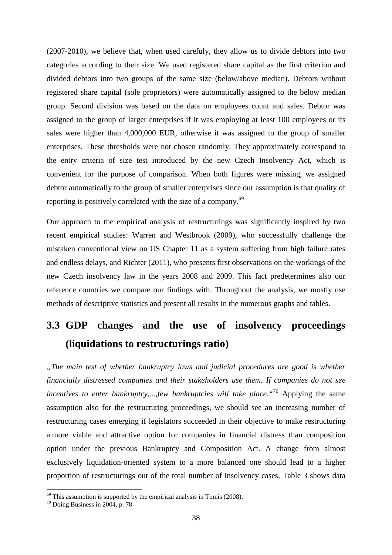(2007-2010), we believe that, when used carefuly, they allow us to divide debtors into two categories according to their size. We used registered share capital as the first criterion and divided debtors into two groups of the same size (below/above median). Debtors without registered share capital (sole proprietors) were automatically assigned to the below median group. Second division was based on the data on employees count and sales. Debtor was assigned to the group of larger enterprises if it was employing at least 100 employees or its sales were higher than 4,000,000 EUR, otherwise it was assigned to the group of smaller enterprises. These thresholds were not chosen randomly. They approximately correspond to the entry criteria of size test introduced by the new Czech Insolvency Act, which is convenient for the purpose of comparison. When both figures were missing, we assigned debtor automatically to the group of smaller enterprises since our assumption is that quality of reporting is positively correlated with the size of a company.<sup>69</sup>

Our approach to the empirical analysis of restructurings was significantly inspired by two recent empirical studies: Warren and Westbrook (2009), who successfully challenge the mistaken conventional view on US Chapter 11 as a system suffering from high failure rates and endless delays, and Richter (2011), who presents first observations on the workings of the new Czech insolvency law in the years 2008 and 2009. This fact predetermines also our reference countries we compare our findings with. Throughout the analysis, we mostly use methods of descriptive statistics and present all results in the numerous graphs and tables.

# **3.3 GDP changes and the use of insolvency proceedings (liquidations to restructurings ratio)**

*"The main test of whether bankruptcy laws and judicial procedures are good is whether financially distressed companies and their stakeholders use them. If companies do not see incentives to enter bankruptcy,...,few bankruptcies will take place."*<sup>70</sup> Applying the same assumption also for the restructuring proceedings, we should see an increasing number of restructuring cases emerging if legislators succeeded in their objective to make restructuring a more viable and attractive option for companies in financial distress than composition option under the previous Bankruptcy and Composition Act. A change from almost exclusively liquidation-oriented system to a more balanced one should lead to a higher proportion of restructurings out of the total number of insolvency cases. Table 3 shows data

 $69$  This assumption is supported by the empirical analysis in Tomis (2008).

 $70$  Doing Business in 2004, p. 78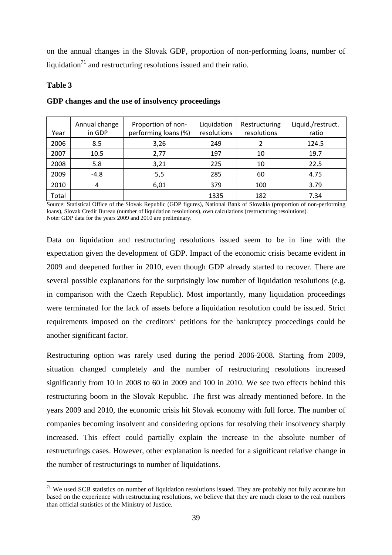on the annual changes in the Slovak GDP, proportion of non-performing loans, number of liquidation<sup>71</sup> and restructuring resolutions issued and their ratio.

## **Table 3**

 $\overline{a}$ 

| Year  | Annual change<br>in GDP | Proportion of non-<br>performing loans (%) | Liquidation<br>resolutions | Restructuring<br>resolutions | Liquid./restruct.<br>ratio |
|-------|-------------------------|--------------------------------------------|----------------------------|------------------------------|----------------------------|
| 2006  | 8.5                     | 3,26                                       | 249                        |                              | 124.5                      |
| 2007  | 10.5                    | 2,77                                       | 197                        | 10                           | 19.7                       |
| 2008  | 5.8                     | 3,21                                       | 225                        | 10                           | 22.5                       |
| 2009  | $-4.8$                  | 5,5                                        | 285                        | 60                           | 4.75                       |
| 2010  | 4                       | 6,01                                       | 379                        | 100                          | 3.79                       |
| Total |                         |                                            | 1335                       | 182                          | 7.34                       |

## **GDP changes and the use of insolvency proceedings**

Source: Statistical Office of the Slovak Republic (GDP figures), National Bank of Slovakia (proportion of non-performing loans), Slovak Credit Bureau (number of liquidation resolutions), own calculations (restructuring resolutions). Note: GDP data for the years 2009 and 2010 are preliminary.

Data on liquidation and restructuring resolutions issued seem to be in line with the expectation given the development of GDP. Impact of the economic crisis became evident in 2009 and deepened further in 2010, even though GDP already started to recover. There are several possible explanations for the surprisingly low number of liquidation resolutions (e.g. in comparison with the Czech Republic). Most importantly, many liquidation proceedings were terminated for the lack of assets before a liquidation resolution could be issued. Strict requirements imposed on the creditors' petitions for the bankruptcy proceedings could be another significant factor.

Restructuring option was rarely used during the period 2006-2008. Starting from 2009, situation changed completely and the number of restructuring resolutions increased significantly from 10 in 2008 to 60 in 2009 and 100 in 2010. We see two effects behind this restructuring boom in the Slovak Republic. The first was already mentioned before. In the years 2009 and 2010, the economic crisis hit Slovak economy with full force. The number of companies becoming insolvent and considering options for resolving their insolvency sharply increased. This effect could partially explain the increase in the absolute number of restructurings cases. However, other explanation is needed for a significant relative change in the number of restructurings to number of liquidations.

 $71$  We used SCB statistics on number of liquidation resolutions issued. They are probably not fully accurate but based on the experience with restructuring resolutions, we believe that they are much closer to the real numbers than official statistics of the Ministry of Justice.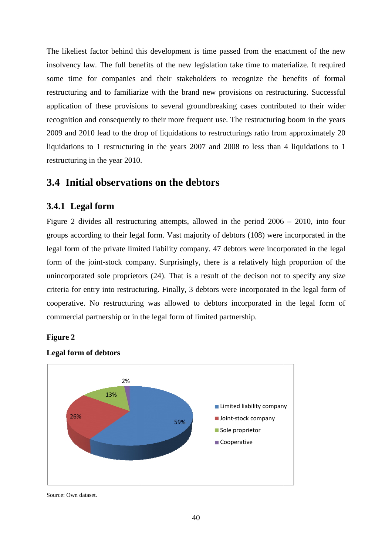The likeliest factor behind this development is time passed from the enactment of the new insolvency law. The full benefits of the new legislation take time to materialize. It required some time for companies and their stakeholders to recognize the benefits of formal restructuring and to familiarize with the brand new provisions on restructuring. Successful application of these provisions to several groundbreaking cases contributed to their wider recognition and consequently to their more frequent use. The restructuring boom in the years 2009 and 2010 lead to the drop of liquidations to restructurings ratio from approximately 20 liquidations to 1 restructuring in the years 2007 and 2008 to less than 4 liquidations to 1 restructuring in the year 2010. estructuring boom in the years<br>stratio from approximately 20<br>less than 4 liquidations to 1

# **3.4 Initial observations on the debtors**

# **3.4.1 Legal form**

Figure 2 divides all restructuring attempts, allowed in the period  $2006 - 2010$ , into four groups according to their legal form. Vast majority of debtors (108) were incorporated in the legal form of the private limited liability company. 47 debtors were incorporated in the legal form of the joint-stock company. Surprisingly, there is a relatively high proportion of the form of the joint-stock company. Surprisingly, there is a relatively high proportion of the unincorporated sole proprietors (24). That is a result of the decison not to specify any size criteria for entry into restructuring. Finally, 3 debtors were incorporated in the legal form of cooperative. No restructuring was allowed to debtors incorporated in the legal form of commercial partnership or in the legal form of limited partnership.

### **Figure 2**



# **Legal form of debtors**

Source: Own dataset.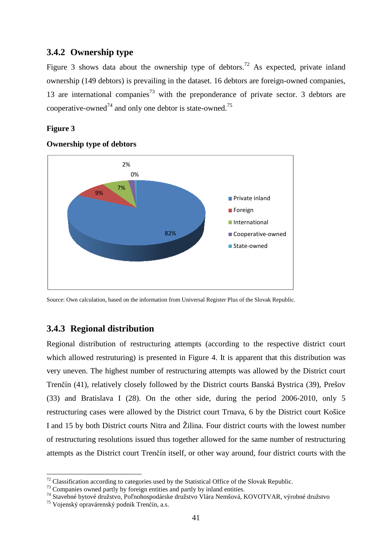## **3.4.2 Ownership type**

Figure 3 shows data about the ownership type of debtors.<sup>72</sup> As expected, private inland ownership (149 debtors) is prevailing in the dataset. 16 debtors are foreign-owned companies, 13 are international companies<sup>73</sup> with the preponderance of private sector. 3 debtors are cooperative-owned<sup>74</sup> and only one debtor is state-owned.<sup>75</sup>

## **Figure 3**



#### **Ownership type of debtors**

# **3.4.3 Regional distribution**

Regional distribution of restructuring attempts (according to the respective district court which allowed restruturing) is presented in Figure 4. It is apparent that this distribution was which allowed restruturing) is presented in Figure 4. It is apparent that this distribution was<br>very uneven. The highest number of restructuring attempts was allowed by the District court Trenčín (41), relatively closely followed by the District courts Banská Bystrica (39), Prešov (33) and Bratislava I (28). On the other side, during the period 2006 2006-2010, only 5 restructuring cases were allowed by the District court Trnava, 6 by the District District court Košice I and 15 by both District courts Nitra and Žilina. Four district courts with the lowest number of restructuring resolutions issued thus together allowed for the same number of restructuring attempts as the District court Trenčín itself, or other way around, four district courts with the Cooperative-owned<br>
State-owned<br>
State-owned<br>
State-owned<br>
State-owned<br>
State round<br>
State round<br>
State of the period<br>
20<br>
State period<br>
21<br>
Prict courts with<br>
The same numb<br>
Frict courts with<br>
The same numb<br>
Frict courts w

Source: Own calculation, based on the information from Universal Register Plus of the Slovak Republic.

 $72$  Classification according to categories used by the Statistical Office of the Slovak Republic.

<sup>&</sup>lt;sup>73</sup> Companies owned partly by foreign entities and partly by inland entities.

<sup>&</sup>lt;sup>13</sup> Companies owned partly by foreign entities and partly by inland entities.<br><sup>74</sup> Stavebné bytové družstvo, Poľnohospodárske družstvo Vlára Nemšová, KOVOTVAR, výrobné družstvo

<sup>&</sup>lt;sup>75</sup> Vojenský opravárenský podnik Trenčín, a.s.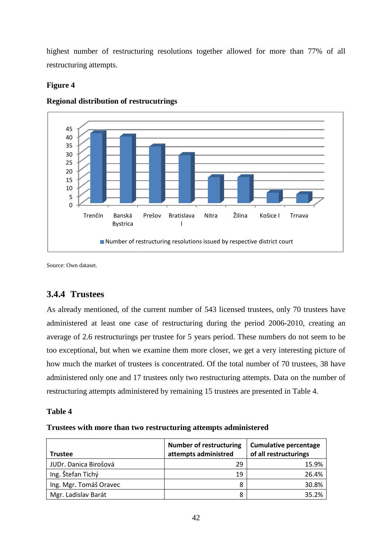highest number of restructuring resolutions together allowed for more than 77% of all restructuring attempts.

# **Figure 4**



## **Regional distribution of restrucutrings**

Source: Own dataset.

# **3.4.4 Trustees**

As already mentioned, of the current number of 543 licensed trustees, only 70 trustees have administered at least one case of restructuring during the period 2006 average of 2.6 restructurings per trustee for 5 years period. These numbers do not seem to be too exceptional, but when we examine them more closer, we get a very interesting picture of how much the market of trustees is concentrated. Of the total number of 70 trustees, 38 have administered only one and 17 trustees only two restructuring attempts. Data on the number of restructuring attempts administered by remaining 15 trustees are presented in Table 4.

# **Table 4**

# Trustees with more than two restructuring attempts administered

| <b>Trustee</b>         | <b>Number of restructuring</b><br>attempts administred | <b>Cumulative percentage</b><br>of all restructurings |
|------------------------|--------------------------------------------------------|-------------------------------------------------------|
| JUDr. Danica Birošová  | 29                                                     | 15.9%                                                 |
| Ing. Štefan Tichý      | 19                                                     | 26.4%                                                 |
| Ing. Mgr. Tomáš Oravec | 8                                                      | 30.8%                                                 |
| Mgr. Ladislav Barát    | 8                                                      | 35.2%                                                 |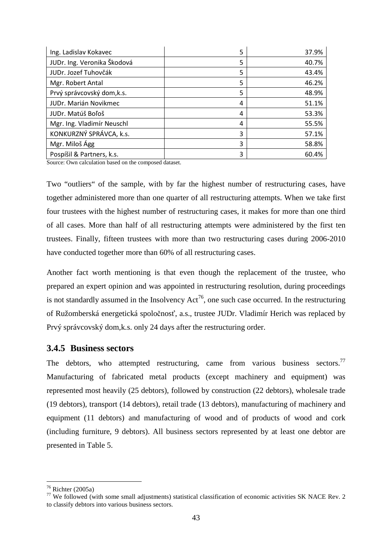| Ing. Ladislav Kokavec       | 5 | 37.9% |
|-----------------------------|---|-------|
| JUDr. Ing. Veronika Škodová | 5 | 40.7% |
| JUDr. Jozef Tuhovčák        | 5 | 43.4% |
| Mgr. Robert Antal           | 5 | 46.2% |
| Prvý správcovský dom, k.s.  | 5 | 48.9% |
| JUDr. Marián Novikmec       | 4 | 51.1% |
| JUDr. Matúš Boľoš           | 4 | 53.3% |
| Mgr. Ing. Vladimír Neuschl  | 4 | 55.5% |
| KONKURZNÝ SPRÁVCA, k.s.     | 3 | 57.1% |
| Mgr. Miloš Ágg              | 3 | 58.8% |
| Pospíšil & Partners, k.s.   | 3 | 60.4% |

Source: Own calculation based on the composed dataset.

Two "outliers" of the sample, with by far the highest number of restructuring cases, have together administered more than one quarter of all restructuring attempts. When we take first four trustees with the highest number of restructuring cases, it makes for more than one third of all cases. More than half of all restructuring attempts were administered by the first ten trustees. Finally, fifteen trustees with more than two restructuring cases during 2006-2010 have conducted together more than 60% of all restructuring cases.

Another fact worth mentioning is that even though the replacement of the trustee, who prepared an expert opinion and was appointed in restructuring resolution, during proceedings is not standardly assumed in the Insolvency  $Act^{76}$ , one such case occurred. In the restructuring of Ružomberská energetická spoločnosť, a.s., trustee JUDr. Vladimír Herich was replaced by Prvý správcovský dom,k.s. only 24 days after the restructuring order.

### **3.4.5 Business sectors**

The debtors, who attempted restructuring, came from various business sectors.<sup>77</sup> Manufacturing of fabricated metal products (except machinery and equipment) was represented most heavily (25 debtors), followed by construction (22 debtors), wholesale trade (19 debtors), transport (14 debtors), retail trade (13 debtors), manufacturing of machinery and equipment (11 debtors) and manufacturing of wood and of products of wood and cork (including furniture, 9 debtors). All business sectors represented by at least one debtor are presented in Table 5.

 $76$  Richter (2005a)

<sup>&</sup>lt;sup>77</sup> We followed (with some small adjustments) statistical classification of economic activities SK NACE Rev. 2 to classify debtors into various business sectors.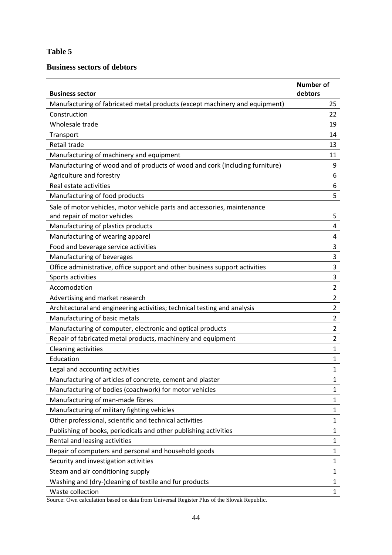# **Table 5**

# **Business sectors of debtors**

| <b>Business sector</b>                                                                                   | <b>Number of</b><br>debtors |
|----------------------------------------------------------------------------------------------------------|-----------------------------|
| Manufacturing of fabricated metal products (except machinery and equipment)                              | 25                          |
| Construction                                                                                             | 22                          |
| Wholesale trade                                                                                          | 19                          |
| Transport                                                                                                | 14                          |
| Retail trade                                                                                             | 13                          |
| Manufacturing of machinery and equipment                                                                 | 11                          |
| Manufacturing of wood and of products of wood and cork (including furniture)                             | 9                           |
| Agriculture and forestry                                                                                 | 6                           |
| Real estate activities                                                                                   | 6                           |
| Manufacturing of food products                                                                           | 5                           |
| Sale of motor vehicles, motor vehicle parts and accessories, maintenance<br>and repair of motor vehicles | 5                           |
| Manufacturing of plastics products                                                                       | 4                           |
| Manufacturing of wearing apparel                                                                         | 4                           |
| Food and beverage service activities                                                                     | 3                           |
| Manufacturing of beverages                                                                               | 3                           |
| Office administrative, office support and other business support activities                              | 3                           |
| Sports activities                                                                                        | 3                           |
| Accomodation                                                                                             | $\overline{2}$              |
| Advertising and market research                                                                          | 2                           |
| Architectural and engineering activities; technical testing and analysis                                 | 2                           |
| Manufacturing of basic metals                                                                            | 2                           |
| Manufacturing of computer, electronic and optical products                                               | 2                           |
| Repair of fabricated metal products, machinery and equipment                                             | 2                           |
| <b>Cleaning activities</b>                                                                               | 1                           |
| Education                                                                                                | 1                           |
| Legal and accounting activities                                                                          | 1                           |
| Manufacturing of articles of concrete, cement and plaster                                                | 1                           |
| Manufacturing of bodies (coachwork) for motor vehicles                                                   | 1                           |
| Manufacturing of man-made fibres                                                                         | 1                           |
| Manufacturing of military fighting vehicles                                                              | 1                           |
| Other professional, scientific and technical activities                                                  | 1                           |
| Publishing of books, periodicals and other publishing activities                                         | 1                           |
| Rental and leasing activities                                                                            | 1                           |
| Repair of computers and personal and household goods                                                     | 1                           |
| Security and investigation activities                                                                    | 1                           |
| Steam and air conditioning supply                                                                        | 1                           |
| Washing and (dry-)cleaning of textile and fur products                                                   | 1                           |
| Waste collection                                                                                         | 1                           |

Source: Own calculation based on data from Universal Register Plus of the Slovak Republic.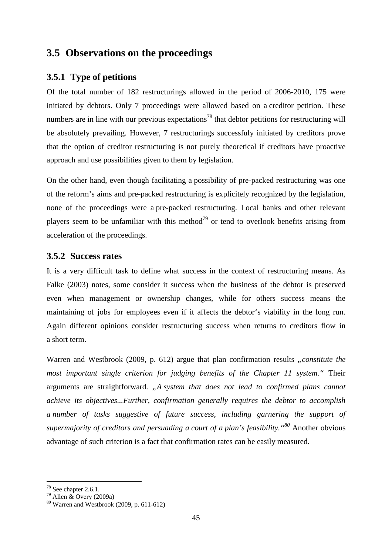# **3.5 Observations on the proceedings**

# **3.5.1 Type of petitions**

Of the total number of 182 restructurings allowed in the period of 2006-2010, 175 were initiated by debtors. Only 7 proceedings were allowed based on a creditor petition. These numbers are in line with our previous expectations<sup>78</sup> that debtor petitions for restructuring will be absolutely prevailing. However, 7 restructurings successfuly initiated by creditors prove that the option of creditor restructuring is not purely theoretical if creditors have proactive approach and use possibilities given to them by legislation.

On the other hand, even though facilitating a possibility of pre-packed restructuring was one of the reform's aims and pre-packed restructuring is explicitely recognized by the legislation, none of the proceedings were a pre-packed restructuring. Local banks and other relevant players seem to be unfamiliar with this method<sup>79</sup> or tend to overlook benefits arising from acceleration of the proceedings.

# **3.5.2 Success rates**

It is a very difficult task to define what success in the context of restructuring means. As Falke (2003) notes, some consider it success when the business of the debtor is preserved even when management or ownership changes, while for others success means the maintaining of jobs for employees even if it affects the debtor's viability in the long run. Again different opinions consider restructuring success when returns to creditors flow in a short term.

Warren and Westbrook (2009, p. 612) argue that plan confirmation results *"constitute the most important single criterion for judging benefits of the Chapter 11 system."* Their arguments are straightforward. *"A system that does not lead to confirmed plans cannot achieve its objectives...Further, confirmation generally requires the debtor to accomplish a number of tasks suggestive of future success, including garnering the support of supermajority of creditors and persuading a court of a plan's feasibility."<sup>80</sup>* Another obvious advantage of such criterion is a fact that confirmation rates can be easily measured.

 $78$  See chapter 2.6.1.

 $79$  Allen  $\&$  Overy (2009a)

 $80$  Warren and Westbrook (2009, p. 611-612)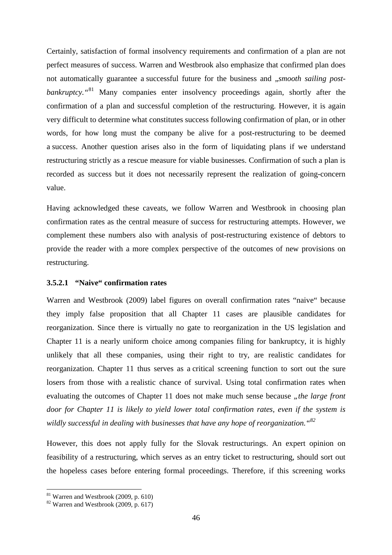Certainly, satisfaction of formal insolvency requirements and confirmation of a plan are not perfect measures of success. Warren and Westbrook also emphasize that confirmed plan does not automatically guarantee a successful future for the business and *"smooth sailing postbankruptcy.*<sup>"81</sup> Many companies enter insolvency proceedings again, shortly after the confirmation of a plan and successful completion of the restructuring. However, it is again very difficult to determine what constitutes success following confirmation of plan, or in other words, for how long must the company be alive for a post-restructuring to be deemed a success. Another question arises also in the form of liquidating plans if we understand restructuring strictly as a rescue measure for viable businesses. Confirmation of such a plan is recorded as success but it does not necessarily represent the realization of going-concern value.

Having acknowledged these caveats, we follow Warren and Westbrook in choosing plan confirmation rates as the central measure of success for restructuring attempts. However, we complement these numbers also with analysis of post-restructuring existence of debtors to provide the reader with a more complex perspective of the outcomes of new provisions on restructuring.

### **3.5.2.1 "Naive" confirmation rates**

Warren and Westbrook (2009) label figures on overall confirmation rates "naive" because they imply false proposition that all Chapter 11 cases are plausible candidates for reorganization. Since there is virtually no gate to reorganization in the US legislation and Chapter 11 is a nearly uniform choice among companies filing for bankruptcy, it is highly unlikely that all these companies, using their right to try, are realistic candidates for reorganization. Chapter 11 thus serves as a critical screening function to sort out the sure losers from those with a realistic chance of survival. Using total confirmation rates when evaluating the outcomes of Chapter 11 does not make much sense because *"the large front door for Chapter 11 is likely to yield lower total confirmation rates, even if the system is wildly successful in dealing with businesses that have any hope of reorganization."<sup>82</sup>*

However, this does not apply fully for the Slovak restructurings. An expert opinion on feasibility of a restructuring, which serves as an entry ticket to restructuring, should sort out the hopeless cases before entering formal proceedings. Therefore, if this screening works

 $81$  Warren and Westbrook (2009, p. 610)

 $82$  Warren and Westbrook (2009, p. 617)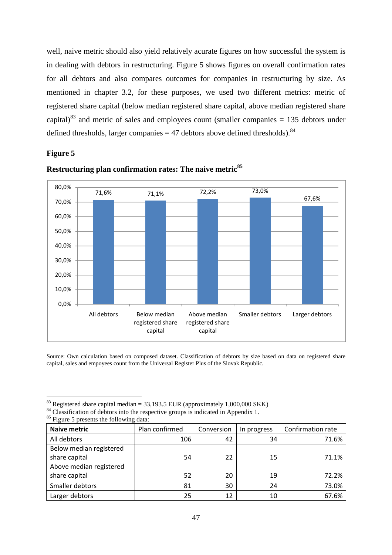well, naive metric should also yield relatively acurate figures on how successful the system is in dealing with debtors in restructuring. Figure 5 shows figures on overall confirmation rates for all debtors and also compares outcomes for companies in restructuring by size. As mentioned in chapter 3.2, for these purposes, we used two different metrics: metric of registered share capital (below median registered share capital, above median registered share capital)<sup>83</sup> and metric of sales and employees count (smaller companies  $= 135$  debtors under defined thresholds, larger companies  $=$  47 debtors above defined thresholds).<sup>84</sup>

#### **Figure 5**



# **Restructuring plan confirmation rates: The naive metric<sup>85</sup>**

Source: Own calculation based on composed dataset. Classification of debtors by size based on data on registered share capital, sales and empoyees count from the Universal Register Plus of the Slovak Republic.

| <b>Naive metric</b>     | Plan confirmed | Conversion | In progress | Confirmation rate |
|-------------------------|----------------|------------|-------------|-------------------|
| All debtors             | 106            | 42         | 34          | 71.6%             |
| Below median registered |                |            |             |                   |
| share capital           | 54             | 22         | 15          | 71.1%             |
| Above median registered |                |            |             |                   |
| share capital           | 52             | 20         | 19          | 72.2%             |
| Smaller debtors         | 81             | 30         | 24          | 73.0%             |
| Larger debtors          | 25             | 12         | 10          | 67.6%             |

<sup>&</sup>lt;sup>83</sup> Registered share capital median = 33,193.5 EUR (approximately 1,000,000 SKK)

<sup>&</sup>lt;sup>84</sup> Classification of debtors into the respective groups is indicated in Appendix 1.

 $85$  Figure 5 presents the following data: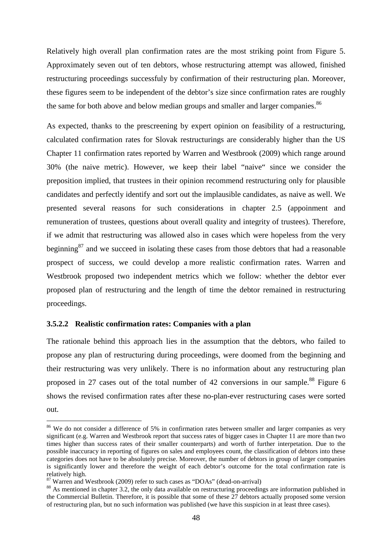Relatively high overall plan confirmation rates are the most striking point from Figure 5. Approximately seven out of ten debtors, whose restructuring attempt was allowed, finished restructuring proceedings successfuly by confirmation of their restructuring plan. Moreover, these figures seem to be independent of the debtor's size since confirmation rates are roughly the same for both above and below median groups and smaller and larger companies.<sup>86</sup>

As expected, thanks to the prescreening by expert opinion on feasibility of a restructuring, calculated confirmation rates for Slovak restructurings are considerably higher than the US Chapter 11 confirmation rates reported by Warren and Westbrook (2009) which range around 30% (the naive metric). However, we keep their label "naive" since we consider the preposition implied, that trustees in their opinion recommend restructuring only for plausible candidates and perfectly identify and sort out the implausible candidates, as naive as well. We presented several reasons for such considerations in chapter 2.5 (appoinment and remuneration of trustees, questions about overall quality and integrity of trustees). Therefore, if we admit that restructuring was allowed also in cases which were hopeless from the very beginning<sup>87</sup> and we succeed in isolating these cases from those debtors that had a reasonable prospect of success, we could develop a more realistic confirmation rates. Warren and Westbrook proposed two independent metrics which we follow: whether the debtor ever proposed plan of restructuring and the length of time the debtor remained in restructuring proceedings.

#### **3.5.2.2 Realistic confirmation rates: Companies with a plan**

The rationale behind this approach lies in the assumption that the debtors, who failed to propose any plan of restructuring during proceedings, were doomed from the beginning and their restructuring was very unlikely. There is no information about any restructuring plan proposed in 27 cases out of the total number of 42 conversions in our sample.<sup>88</sup> Figure 6 shows the revised confirmation rates after these no-plan-ever restructuring cases were sorted out.

<sup>&</sup>lt;sup>86</sup> We do not consider a difference of 5% in confirmation rates between smaller and larger companies as very significant (e.g. Warren and Westbrook report that success rates of bigger cases in Chapter 11 are more than two times higher than success rates of their smaller counterparts) and worth of further interpetation. Due to the possible inaccuracy in reporting of figures on sales and employees count, the classification of debtors into these categories does not have to be absolutely precise. Moreover, the number of debtors in group of larger companies is significantly lower and therefore the weight of each debtor's outcome for the total confirmation rate is relatively high.

 $87$  Warren and Westbrook (2009) refer to such cases as "DOAs" (dead-on-arrival)

<sup>&</sup>lt;sup>88</sup> As mentioned in chapter 3.2, the only data available on restructuring proceedings are information published in the Commercial Bulletin. Therefore, it is possible that some of these 27 debtors actually proposed some version of restructuring plan, but no such information was published (we have this suspicion in at least three cases).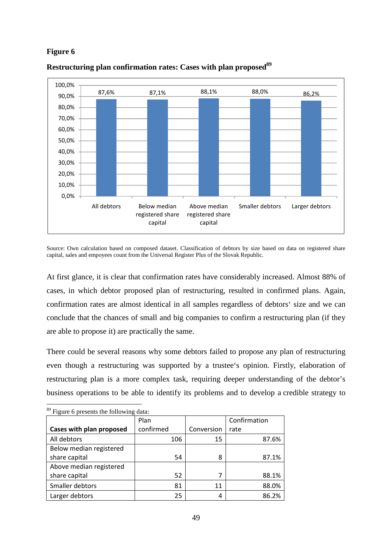# **Figure 6**



## **Restructuring plan confirmation rates: Cases with plan proposed<sup>89</sup>**

Source: Own calculation based on composed dataset. Classification of debtors by size based on data on registered share capital, sales and empoyees count from the Universal Register Plus of the Slovak Republic.

At first glance, it is clear that confirmation rates have considerably increased. Almost 88% of cases, in which debtor proposed plan of restructuring, resulted in confirmed plans. Again, confirmation rates are almost identical in all samples regardless of debtors' size and we can conclude that the chances of small and big companies to confirm a restructuring plan (if they are able to propose it) are practically the same.

There could be several reasons why some debtors failed to propose any plan of restructuring even though a restructuring was supported by a trustee's opinion. Firstly, elaboration of restructuring plan is a more complex task, requiring deeper understanding of the debtor's business operations to be able to identify its problems and to develop a credible strategy to

|                          | Plan      |            | Confirmation |
|--------------------------|-----------|------------|--------------|
| Cases with plan proposed | confirmed | Conversion | rate         |
| All debtors              | 106       | 15         | 87.6%        |
| Below median registered  |           |            |              |
| share capital            | 54        | 8          | 87.1%        |
| Above median registered  |           |            |              |
| share capital            | 52        | 7          | 88.1%        |
| Smaller debtors          | 81        | 11         | 88.0%        |
| Larger debtors           | 25        | 4          | 86.2%        |

 $\overline{a}$ <sup>89</sup> Figure 6 presents the following data: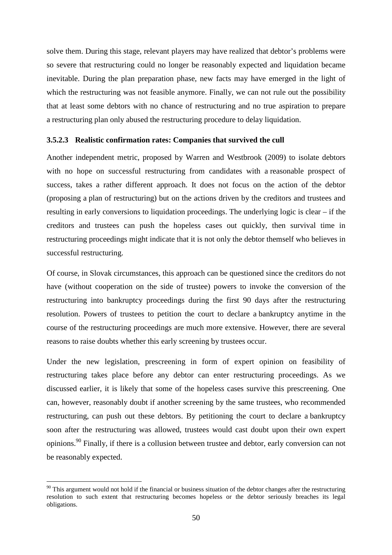solve them. During this stage, relevant players may have realized that debtor's problems were so severe that restructuring could no longer be reasonably expected and liquidation became inevitable. During the plan preparation phase, new facts may have emerged in the light of which the restructuring was not feasible anymore. Finally, we can not rule out the possibility that at least some debtors with no chance of restructuring and no true aspiration to prepare a restructuring plan only abused the restructuring procedure to delay liquidation.

#### **3.5.2.3 Realistic confirmation rates: Companies that survived the cull**

Another independent metric, proposed by Warren and Westbrook (2009) to isolate debtors with no hope on successful restructuring from candidates with a reasonable prospect of success, takes a rather different approach. It does not focus on the action of the debtor (proposing a plan of restructuring) but on the actions driven by the creditors and trustees and resulting in early conversions to liquidation proceedings. The underlying logic is clear – if the creditors and trustees can push the hopeless cases out quickly, then survival time in restructuring proceedings might indicate that it is not only the debtor themself who believes in successful restructuring.

Of course, in Slovak circumstances, this approach can be questioned since the creditors do not have (without cooperation on the side of trustee) powers to invoke the conversion of the restructuring into bankruptcy proceedings during the first 90 days after the restructuring resolution. Powers of trustees to petition the court to declare a bankruptcy anytime in the course of the restructuring proceedings are much more extensive. However, there are several reasons to raise doubts whether this early screening by trustees occur.

Under the new legislation, prescreening in form of expert opinion on feasibility of restructuring takes place before any debtor can enter restructuring proceedings. As we discussed earlier, it is likely that some of the hopeless cases survive this prescreening. One can, however, reasonably doubt if another screening by the same trustees, who recommended restructuring, can push out these debtors. By petitioning the court to declare a bankruptcy soon after the restructuring was allowed, trustees would cast doubt upon their own expert opinions.<sup>90</sup> Finally, if there is a collusion between trustee and debtor, early conversion can not be reasonably expected.

 $90$  This argument would not hold if the financial or business situation of the debtor changes after the restructuring resolution to such extent that restructuring becomes hopeless or the debtor seriously breaches its legal obligations.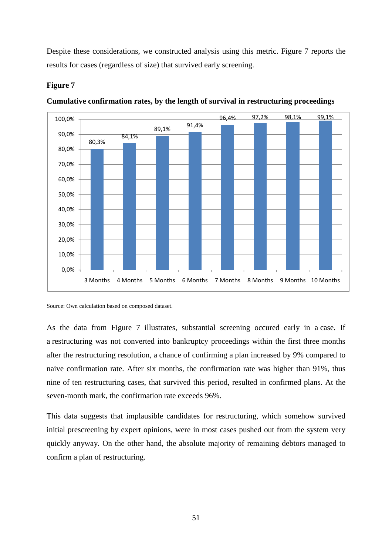Despite these considerations, we constructed analysis using this metric. Figure 7 reports the results for cases (regardless of size) that survived early screening.

# **Figure 7**



#### **Cumulative confirmation rates, by the length of survival in restructuring proceedings**

Source: Own calculation based on composed dataset.

As the data from Figure 7 illustrates, substantial screening occured early in a case. If a restructuring was not converted into bankruptcy proceedings within the first three months after the restructuring resolution, a chance of confirming a plan increased by 9% compared to naive confirmation rate. After six months, the confirmation rate was higher than 91%, thus nine of ten restructuring cases, that survived this period, resulted in confirmed plans. At the seven-month mark, the confirmation rate exceeds 96%.

This data suggests that implausible candidates for restructuring, which somehow survived initial prescreening by expert opinions, were in most cases pushed out from the system very quickly anyway. On the other hand, the absolute majority of remaining debtors managed to confirm a plan of restructuring.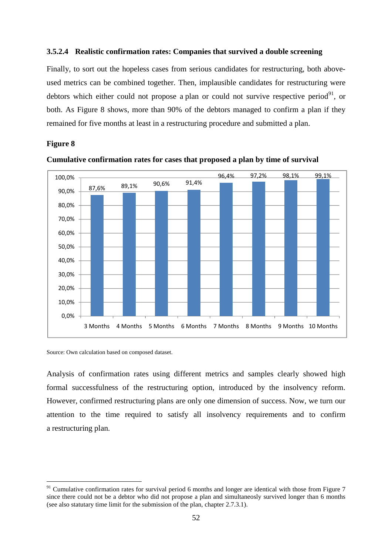#### **3.5.2.4 Realistic confirmation rates: Companies that survived a double screening**

Finally, to sort out the hopeless cases from serious candidates for restructuring, both aboveused metrics can be combined together. Then, implausible candidates for restructuring were debtors which either could not propose a plan or could not survive respective period $91$ , or both. As Figure 8 shows, more than 90% of the debtors managed to confirm a plan if they remained for five months at least in a restructuring procedure and submitted a plan.

# **Figure 8**

 $\overline{a}$ 





Source: Own calculation based on composed dataset.

Analysis of confirmation rates using different metrics and samples clearly showed high formal successfulness of the restructuring option, introduced by the insolvency reform. However, confirmed restructuring plans are only one dimension of success. Now, we turn our attention to the time required to satisfy all insolvency requirements and to confirm a restructuring plan.

 $91$  Cumulative confirmation rates for survival period 6 months and longer are identical with those from Figure 7 since there could not be a debtor who did not propose a plan and simultaneosly survived longer than 6 months (see also statutary time limit for the submission of the plan, chapter 2.7.3.1).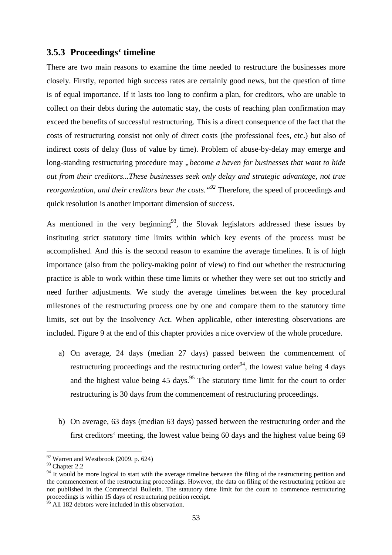# **3.5.3 Proceedings' timeline**

There are two main reasons to examine the time needed to restructure the businesses more closely. Firstly, reported high success rates are certainly good news, but the question of time is of equal importance. If it lasts too long to confirm a plan, for creditors, who are unable to collect on their debts during the automatic stay, the costs of reaching plan confirmation may exceed the benefits of successful restructuring. This is a direct consequence of the fact that the costs of restructuring consist not only of direct costs (the professional fees, etc.) but also of indirect costs of delay (loss of value by time). Problem of abuse-by-delay may emerge and long-standing restructuring procedure may "become a haven for businesses that want to hide *out from their creditors...These businesses seek only delay and strategic advantage, not true reorganization, and their creditors bear the costs." <sup>92</sup>* Therefore, the speed of proceedings and quick resolution is another important dimension of success.

As mentioned in the very beginning<sup>93</sup>, the Slovak legislators addressed these issues by instituting strict statutory time limits within which key events of the process must be accomplished. And this is the second reason to examine the average timelines. It is of high importance (also from the policy-making point of view) to find out whether the restructuring practice is able to work within these time limits or whether they were set out too strictly and need further adjustments. We study the average timelines between the key procedural milestones of the restructuring process one by one and compare them to the statutory time limits, set out by the Insolvency Act. When applicable, other interesting observations are included. Figure 9 at the end of this chapter provides a nice overview of the whole procedure.

- a) On average, 24 days (median 27 days) passed between the commencement of restructuring proceedings and the restructuring order<sup>94</sup>, the lowest value being 4 days and the highest value being  $45 \text{ days}$ .<sup>95</sup> The statutory time limit for the court to order restructuring is 30 days from the commencement of restructuring proceedings.
- b) On average, 63 days (median 63 days) passed between the restructuring order and the first creditors' meeting, the lowest value being 60 days and the highest value being 69

 $92$  Warren and Westbrook (2009. p. 624)

<sup>93</sup> Chapter 2.2

<sup>&</sup>lt;sup>94</sup> It would be more logical to start with the average timeline between the filing of the restructuring petition and the commencement of the restructuring proceedings. However, the data on filing of the restructuring petition are not published in the Commercial Bulletin. The statutory time limit for the court to commence restructuring proceedings is within 15 days of restructuring petition receipt.

 $<sup>5</sup>$  All 182 debtors were included in this observation.</sup>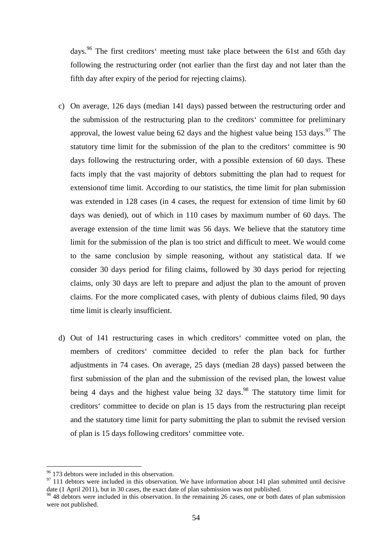days.<sup>96</sup> The first creditors' meeting must take place between the 61st and 65th day following the restructuring order (not earlier than the first day and not later than the fifth day after expiry of the period for rejecting claims).

- c) On average, 126 days (median 141 days) passed between the restructuring order and the submission of the restructuring plan to the creditors' committee for preliminary approval, the lowest value being 62 days and the highest value being 153 days.<sup>97</sup> The statutory time limit for the submission of the plan to the creditors' committee is 90 days following the restructuring order, with a possible extension of 60 days. These facts imply that the vast majority of debtors submitting the plan had to request for extensionof time limit. According to our statistics, the time limit for plan submission was extended in 128 cases (in 4 cases, the request for extension of time limit by 60 days was denied), out of which in 110 cases by maximum number of 60 days. The average extension of the time limit was 56 days. We believe that the statutory time limit for the submission of the plan is too strict and difficult to meet. We would come to the same conclusion by simple reasoning, without any statistical data. If we consider 30 days period for filing claims, followed by 30 days period for rejecting claims, only 30 days are left to prepare and adjust the plan to the amount of proven claims. For the more complicated cases, with plenty of dubious claims filed, 90 days time limit is clearly insufficient.
- d) Out of 141 restructuring cases in which creditors' committee voted on plan, the members of creditors' committee decided to refer the plan back for further adjustments in 74 cases. On average, 25 days (median 28 days) passed between the first submission of the plan and the submission of the revised plan, the lowest value being 4 days and the highest value being  $32 \text{ days}$ .<sup>98</sup> The statutory time limit for creditors' committee to decide on plan is 15 days from the restructuring plan receipt and the statutory time limit for party submitting the plan to submit the revised version of plan is 15 days following creditors' committee vote.

<sup>&</sup>lt;sup>96</sup> 173 debtors were included in this observation.

 $97$  111 debtors were included in this observation. We have information about 141 plan submitted until decisive date (1 April 2011), but in 30 cases, the exact date of plan submission was not published.

<sup>&</sup>lt;sup>98</sup> 48 debtors were included in this observation. In the remaining 26 cases, one or both dates of plan submission were not published.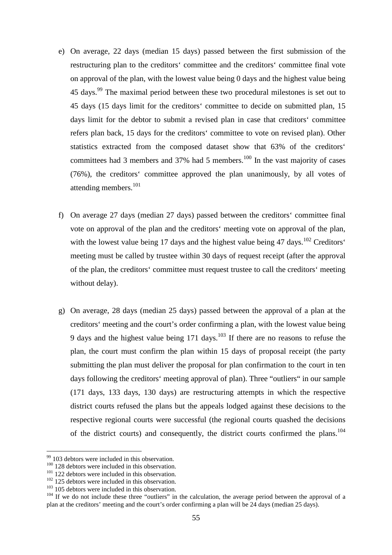- e) On average, 22 days (median 15 days) passed between the first submission of the restructuring plan to the creditors' committee and the creditors' committee final vote on approval of the plan, with the lowest value being 0 days and the highest value being  $45$  days.<sup>99</sup> The maximal period between these two procedural milestones is set out to 45 days (15 days limit for the creditors' committee to decide on submitted plan, 15 days limit for the debtor to submit a revised plan in case that creditors' committee refers plan back, 15 days for the creditors' committee to vote on revised plan). Other statistics extracted from the composed dataset show that 63% of the creditors' committees had 3 members and 37% had 5 members.<sup>100</sup> In the vast majority of cases (76%), the creditors' committee approved the plan unanimously, by all votes of attending members.<sup>101</sup>
- f) On average 27 days (median 27 days) passed between the creditors' committee final vote on approval of the plan and the creditors' meeting vote on approval of the plan, with the lowest value being 17 days and the highest value being 47 days.<sup>102</sup> Creditors' meeting must be called by trustee within 30 days of request receipt (after the approval of the plan, the creditors' committee must request trustee to call the creditors' meeting without delay).
- g) On average, 28 days (median 25 days) passed between the approval of a plan at the creditors' meeting and the court's order confirming a plan, with the lowest value being 9 days and the highest value being  $171$  days.<sup>103</sup> If there are no reasons to refuse the plan, the court must confirm the plan within 15 days of proposal receipt (the party submitting the plan must deliver the proposal for plan confirmation to the court in ten days following the creditors' meeting approval of plan). Three "outliers" in our sample (171 days, 133 days, 130 days) are restructuring attempts in which the respective district courts refused the plans but the appeals lodged against these decisions to the respective regional courts were successful (the regional courts quashed the decisions of the district courts) and consequently, the district courts confirmed the plans.<sup>104</sup>

 $99$  103 debtors were included in this observation.

<sup>&</sup>lt;sup>100</sup> 128 debtors were included in this observation.

 $101$  122 debtors were included in this observation.

 $102$  125 debtors were included in this observation.

<sup>&</sup>lt;sup>103</sup> 105 debtors were included in this observation.

<sup>&</sup>lt;sup>104</sup> If we do not include these three "outliers" in the calculation, the average period between the approval of a plan at the creditors' meeting and the court's order confirming a plan will be 24 days (median 25 days).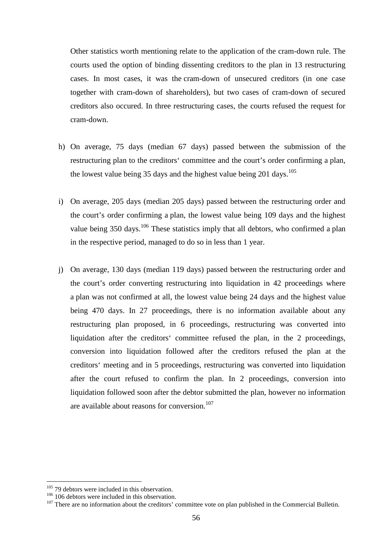Other statistics worth mentioning relate to the application of the cram-down rule. The courts used the option of binding dissenting creditors to the plan in 13 restructuring cases. In most cases, it was the cram-down of unsecured creditors (in one case together with cram-down of shareholders), but two cases of cram-down of secured creditors also occured. In three restructuring cases, the courts refused the request for cram-down.

- h) On average, 75 days (median 67 days) passed between the submission of the restructuring plan to the creditors' committee and the court's order confirming a plan, the lowest value being 35 days and the highest value being 201 days.<sup>105</sup>
- i) On average, 205 days (median 205 days) passed between the restructuring order and the court's order confirming a plan, the lowest value being 109 days and the highest value being  $350 \text{ days}$ .<sup>106</sup> These statistics imply that all debtors, who confirmed a plan in the respective period, managed to do so in less than 1 year.
- j) On average, 130 days (median 119 days) passed between the restructuring order and the court's order converting restructuring into liquidation in 42 proceedings where a plan was not confirmed at all, the lowest value being 24 days and the highest value being 470 days. In 27 proceedings, there is no information available about any restructuring plan proposed, in 6 proceedings, restructuring was converted into liquidation after the creditors' committee refused the plan, in the 2 proceedings, conversion into liquidation followed after the creditors refused the plan at the creditors' meeting and in 5 proceedings, restructuring was converted into liquidation after the court refused to confirm the plan. In 2 proceedings, conversion into liquidation followed soon after the debtor submitted the plan, however no information are available about reasons for conversion.<sup>107</sup>

 $105$  79 debtors were included in this observation.

<sup>&</sup>lt;sup>106</sup> 106 debtors were included in this observation.

<sup>&</sup>lt;sup>107</sup> There are no information about the creditors' committee vote on plan published in the Commercial Bulletin.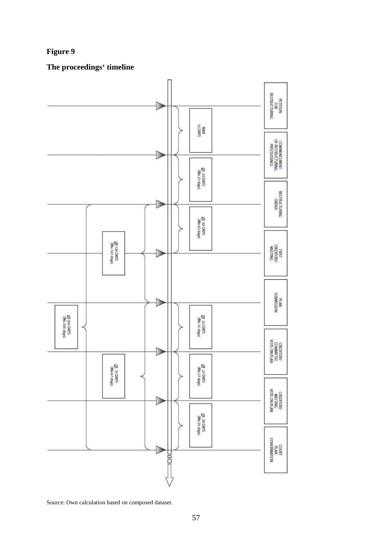# **Figure 9**

**The proceedings' timeline** 



Source: Own calculation based on composed dataset.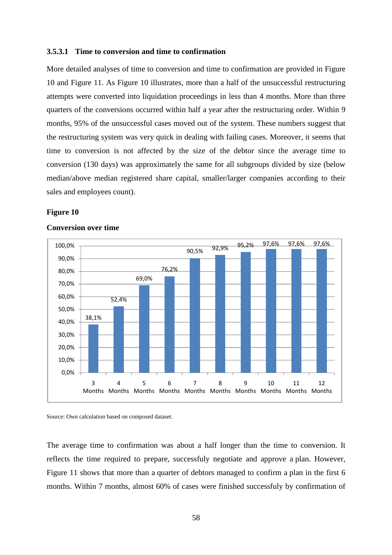#### **3.5.3.1 Time to conversion and time to confirmation**

More detailed analyses of time to conversion and time to confirmation are provided in Figure 10 and Figure 11. As Figure 10 illustrates, more than a half of the unsuccessful restructuring attempts were converted into liquidation proceedings in less than 4 months. More than three quarters of the conversions occurred within half a year after the restructuring order. Within 9 months, 95% of the unsuccessful cases moved out of the system. These numbers suggest that the restructuring system was very quick in dealing with failing cases. Moreover, it seems that time to conversion is not affected by the size of the debtor since the average time to conversion (130 days) was approximately the same for all subgroups divided by size (below median/above median registered share capital, smaller/larger companies according to their sales and employees count).

#### **Figure 10**



#### **Conversion over time**

Source: Own calculation based on composed dataset.

The average time to confirmation was about a half longer than the time to conversion. It reflects the time required to prepare, successfuly negotiate and approve a plan. However, Figure 11 shows that more than a quarter of debtors managed to confirm a plan in the first 6 months. Within 7 months, almost 60% of cases were finished successfuly by confirmation of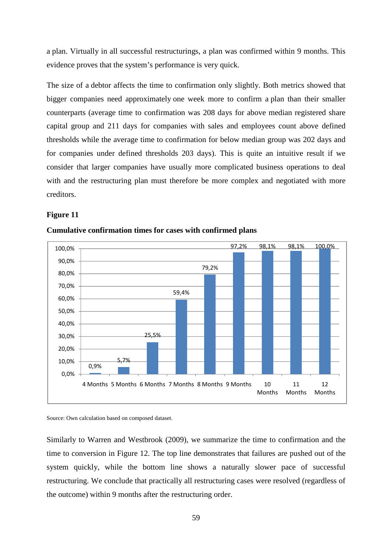a plan. Virtually in all successful restructurings, a plan was confirmed within 9 months. This evidence proves that the system's performance is very quick.

The size of a debtor affects the time to confirmation only slightly. Both metrics showed that bigger companies need approximately one week more to confirm a plan than their smaller counterparts (average time to confirmation was 208 days for above median registered share capital group and 211 days for companies with sales and employees count above defined thresholds while the average time to confirmation for below median group was 202 days and for companies under defined thresholds 203 days). This is quite an intuitive result if we consider that larger companies have usually more complicated business operations to deal with and the restructuring plan must therefore be more complex and negotiated with more creditors.

#### **Figure 11**



#### **Cumulative confirmation times for cases with confirmed plans**

Source: Own calculation based on composed dataset.

Similarly to Warren and Westbrook (2009), we summarize the time to confirmation and the time to conversion in Figure 12. The top line demonstrates that failures are pushed out of the system quickly, while the bottom line shows a naturally slower pace of successful restructuring. We conclude that practically all restructuring cases were resolved (regardless of the outcome) within 9 months after the restructuring order.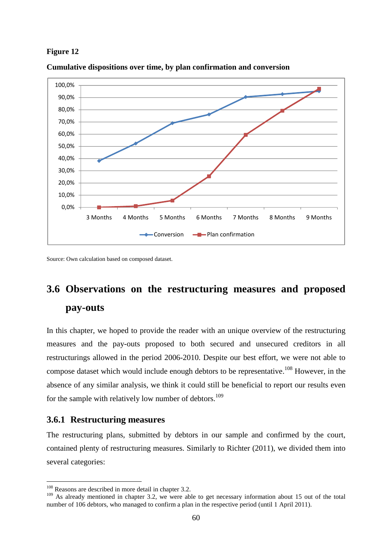#### **Figure 12**

![](_page_67_Figure_1.jpeg)

**Cumulative dispositions over time, by plan confirmation and conversion** 

Source: Own calculation based on composed dataset.

# **3.6 Observations on the restructuring measures and proposed pay-outs**

In this chapter, we hoped to provide the reader with an unique overview of the restructuring measures and the pay-outs proposed to both secured and unsecured creditors in all restructurings allowed in the period 2006-2010. Despite our best effort, we were not able to compose dataset which would include enough debtors to be representative.<sup>108</sup> However, in the absence of any similar analysis, we think it could still be beneficial to report our results even for the sample with relatively low number of debtors.<sup>109</sup>

### **3.6.1 Restructuring measures**

 $\overline{a}$ 

The restructuring plans, submitted by debtors in our sample and confirmed by the court, contained plenty of restructuring measures. Similarly to Richter (2011), we divided them into several categories:

<sup>&</sup>lt;sup>108</sup> Reasons are described in more detail in chapter 3.2.

<sup>&</sup>lt;sup>109</sup> As already mentioned in chapter 3.2, we were able to get necessary information about 15 out of the total number of 106 debtors, who managed to confirm a plan in the respective period (until 1 April 2011).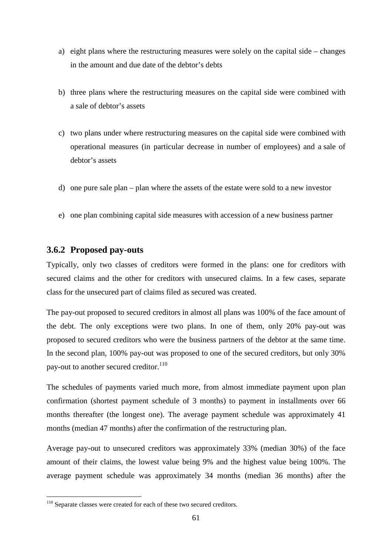- a) eight plans where the restructuring measures were solely on the capital side changes in the amount and due date of the debtor's debts
- b) three plans where the restructuring measures on the capital side were combined with a sale of debtor's assets
- c) two plans under where restructuring measures on the capital side were combined with operational measures (in particular decrease in number of employees) and a sale of debtor's assets
- d) one pure sale plan plan where the assets of the estate were sold to a new investor
- e) one plan combining capital side measures with accession of a new business partner

# **3.6.2 Proposed pay-outs**

Typically, only two classes of creditors were formed in the plans: one for creditors with secured claims and the other for creditors with unsecured claims. In a few cases, separate class for the unsecured part of claims filed as secured was created.

The pay-out proposed to secured creditors in almost all plans was 100% of the face amount of the debt. The only exceptions were two plans. In one of them, only 20% pay-out was proposed to secured creditors who were the business partners of the debtor at the same time. In the second plan, 100% pay-out was proposed to one of the secured creditors, but only 30% pay-out to another secured creditor.  $^{110}$ 

The schedules of payments varied much more, from almost immediate payment upon plan confirmation (shortest payment schedule of 3 months) to payment in installments over 66 months thereafter (the longest one). The average payment schedule was approximately 41 months (median 47 months) after the confirmation of the restructuring plan.

Average pay-out to unsecured creditors was approximately 33% (median 30%) of the face amount of their claims, the lowest value being 9% and the highest value being 100%. The average payment schedule was approximately 34 months (median 36 months) after the

<sup>&</sup>lt;sup>110</sup> Separate classes were created for each of these two secured creditors.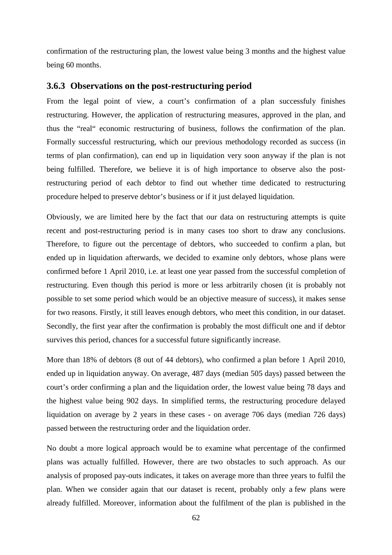confirmation of the restructuring plan, the lowest value being 3 months and the highest value being 60 months.

#### **3.6.3 Observations on the post-restructuring period**

From the legal point of view, a court's confirmation of a plan successfuly finishes restructuring. However, the application of restructuring measures, approved in the plan, and thus the "real" economic restructuring of business, follows the confirmation of the plan. Formally successful restructuring, which our previous methodology recorded as success (in terms of plan confirmation), can end up in liquidation very soon anyway if the plan is not being fulfilled. Therefore, we believe it is of high importance to observe also the postrestructuring period of each debtor to find out whether time dedicated to restructuring procedure helped to preserve debtor's business or if it just delayed liquidation.

Obviously, we are limited here by the fact that our data on restructuring attempts is quite recent and post-restructuring period is in many cases too short to draw any conclusions. Therefore, to figure out the percentage of debtors, who succeeded to confirm a plan, but ended up in liquidation afterwards, we decided to examine only debtors, whose plans were confirmed before 1 April 2010, i.e. at least one year passed from the successful completion of restructuring. Even though this period is more or less arbitrarily chosen (it is probably not possible to set some period which would be an objective measure of success), it makes sense for two reasons. Firstly, it still leaves enough debtors, who meet this condition, in our dataset. Secondly, the first year after the confirmation is probably the most difficult one and if debtor survives this period, chances for a successful future significantly increase.

More than 18% of debtors (8 out of 44 debtors), who confirmed a plan before 1 April 2010, ended up in liquidation anyway. On average, 487 days (median 505 days) passed between the court's order confirming a plan and the liquidation order, the lowest value being 78 days and the highest value being 902 days. In simplified terms, the restructuring procedure delayed liquidation on average by 2 years in these cases - on average 706 days (median 726 days) passed between the restructuring order and the liquidation order.

No doubt a more logical approach would be to examine what percentage of the confirmed plans was actually fulfilled. However, there are two obstacles to such approach. As our analysis of proposed pay-outs indicates, it takes on average more than three years to fulfil the plan. When we consider again that our dataset is recent, probably only a few plans were already fulfilled. Moreover, information about the fulfilment of the plan is published in the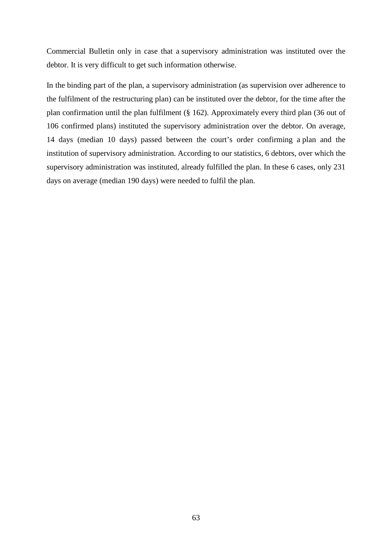Commercial Bulletin only in case that a supervisory administration was instituted over the debtor. It is very difficult to get such information otherwise.

In the binding part of the plan, a supervisory administration (as supervision over adherence to the fulfilment of the restructuring plan) can be instituted over the debtor, for the time after the plan confirmation until the plan fulfilment (§ 162). Approximately every third plan (36 out of 106 confirmed plans) instituted the supervisory administration over the debtor. On average, 14 days (median 10 days) passed between the court's order confirming a plan and the institution of supervisory administration. According to our statistics, 6 debtors, over which the supervisory administration was instituted, already fulfilled the plan. In these 6 cases, only 231 days on average (median 190 days) were needed to fulfil the plan.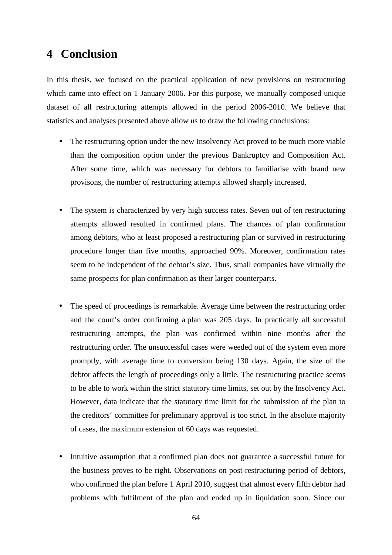# **4 Conclusion**

In this thesis, we focused on the practical application of new provisions on restructuring which came into effect on 1 January 2006. For this purpose, we manually composed unique dataset of all restructuring attempts allowed in the period 2006-2010. We believe that statistics and analyses presented above allow us to draw the following conclusions:

- The restructuring option under the new Insolvency Act proved to be much more viable than the composition option under the previous Bankruptcy and Composition Act. After some time, which was necessary for debtors to familiarise with brand new provisons, the number of restructuring attempts allowed sharply increased.
- The system is characterized by very high success rates. Seven out of ten restructuring attempts allowed resulted in confirmed plans. The chances of plan confirmation among debtors, who at least proposed a restructuring plan or survived in restructuring procedure longer than five months, approached 90%. Moreover, confirmation rates seem to be independent of the debtor's size. Thus, small companies have virtually the same prospects for plan confirmation as their larger counterparts.
- The speed of proceedings is remarkable. Average time between the restructuring order and the court's order confirming a plan was 205 days. In practically all successful restructuring attempts, the plan was confirmed within nine months after the restructuring order. The unsuccessful cases were weeded out of the system even more promptly, with average time to conversion being 130 days. Again, the size of the debtor affects the length of proceedings only a little. The restructuring practice seems to be able to work within the strict statutory time limits, set out by the Insolvency Act. However, data indicate that the statutory time limit for the submission of the plan to the creditors' committee for preliminary approval is too strict. In the absolute majority of cases, the maximum extension of 60 days was requested.
- Intuitive assumption that a confirmed plan does not guarantee a successful future for the business proves to be right. Observations on post-restructuring period of debtors, who confirmed the plan before 1 April 2010, suggest that almost every fifth debtor had problems with fulfilment of the plan and ended up in liquidation soon. Since our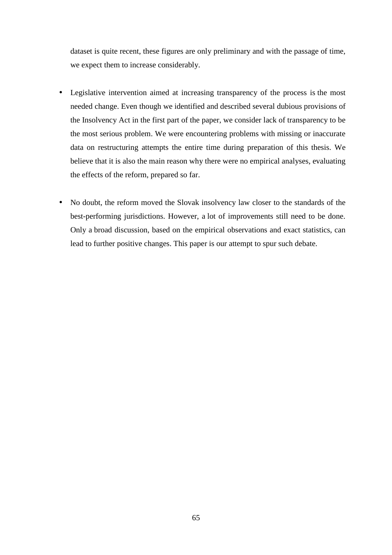dataset is quite recent, these figures are only preliminary and with the passage of time, we expect them to increase considerably.

- Legislative intervention aimed at increasing transparency of the process is the most needed change. Even though we identified and described several dubious provisions of the Insolvency Act in the first part of the paper, we consider lack of transparency to be the most serious problem. We were encountering problems with missing or inaccurate data on restructuring attempts the entire time during preparation of this thesis. We believe that it is also the main reason why there were no empirical analyses, evaluating the effects of the reform, prepared so far.
- No doubt, the reform moved the Slovak insolvency law closer to the standards of the best-performing jurisdictions. However, a lot of improvements still need to be done. Only a broad discussion, based on the empirical observations and exact statistics, can lead to further positive changes. This paper is our attempt to spur such debate.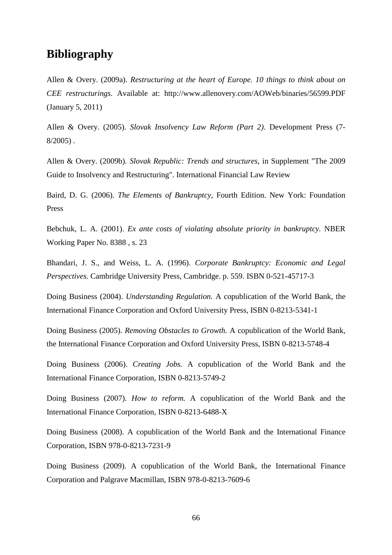## **Bibliography**

Allen & Overy. (2009a). *Restructuring at the heart of Europe. 10 things to think about on CEE restructurings.* Available at: http://www.allenovery.com/AOWeb/binaries/56599.PDF (January 5, 2011)

Allen & Overy. (2005). *Slovak Insolvency Law Reform (Part 2)*. Development Press (7- 8/2005) .

Allen & Overy. (2009b). *Slovak Republic: Trends and structures*, in Supplement "The 2009 Guide to Insolvency and Restructuring". International Financial Law Review

Baird, D. G. (2006). *The Elements of Bankruptcy,* Fourth Edition. New York: Foundation Press

Bebchuk, L. A. (2001). *Ex ante costs of violating absolute priority in bankruptcy.* NBER Working Paper No. 8388 , s. 23

Bhandari, J. S., and Weiss, L. A. (1996). *Corporate Bankruptcy: Economic and Legal Perspectives.* Cambridge University Press, Cambridge. p. 559. ISBN 0-521-45717-3

Doing Business (2004). *Understanding Regulation.* A copublication of the World Bank, the International Finance Corporation and Oxford University Press, ISBN 0-8213-5341-1

Doing Business (2005). *Removing Obstacles to Growth.* A copublication of the World Bank, the International Finance Corporation and Oxford University Press, ISBN 0-8213-5748-4

Doing Business (2006). *Creating Jobs.* A copublication of the World Bank and the International Finance Corporation, ISBN 0-8213-5749-2

Doing Business (2007). *How to reform.* A copublication of the World Bank and the International Finance Corporation, ISBN 0-8213-6488-X

Doing Business (2008). A copublication of the World Bank and the International Finance Corporation, ISBN 978-0-8213-7231-9

Doing Business (2009). A copublication of the World Bank, the International Finance Corporation and Palgrave Macmillan, ISBN 978-0-8213-7609-6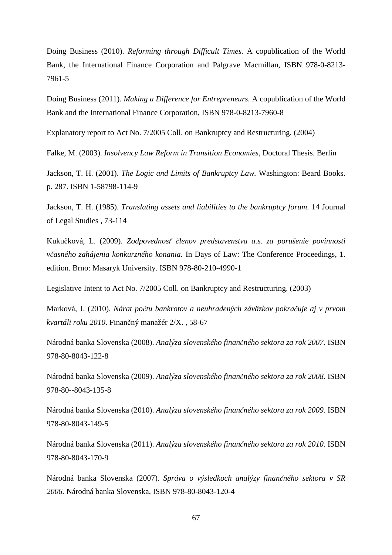Doing Business (2010). *Reforming through Difficult Times.* A copublication of the World Bank, the International Finance Corporation and Palgrave Macmillan, ISBN 978-0-8213- 7961-5

Doing Business (2011). *Making a Difference for Entrepreneurs.* A copublication of the World Bank and the International Finance Corporation, ISBN 978-0-8213-7960-8

Explanatory report to Act No. 7/2005 Coll. on Bankruptcy and Restructuring. (2004)

Falke, M. (2003). *Insolvency Law Reform in Transition Economies,* Doctoral Thesis. Berlin

Jackson, T. H. (2001). *The Logic and Limits of Bankruptcy Law.* Washington: Beard Books. p. 287. ISBN 1-58798-114-9

Jackson, T. H. (1985). *Translating assets and liabilities to the bankruptcy forum.* 14 Journal of Legal Studies , 73-114

Kukučková, L. (2009). *Zodpovednosť členov predstavenstva a.s. za porušenie povinnosti včasného zahájenia konkurzného konania.* In Days of Law: The Conference Proceedings, 1. edition. Brno: Masaryk University. ISBN 978-80-210-4990-1

Legislative Intent to Act No. 7/2005 Coll. on Bankruptcy and Restructuring. (2003)

Marková, J. (2010). *Nárat počtu bankrotov a neuhradených záväzkov pokračuje aj v prvom kvartáli roku 2010*. Finančný manažér 2/X. , 58-67

Národná banka Slovenska (2008). *Analýza slovenského finančného sektora za rok 2007.* ISBN 978-80-8043-122-8

Národná banka Slovenska (2009). *Analýza slovenského finančného sektora za rok 2008.* ISBN 978-80--8043-135-8

Národná banka Slovenska (2010). *Analýza slovenského finančného sektora za rok 2009.* ISBN 978-80-8043-149-5

Národná banka Slovenska (2011). *Analýza slovenského finančného sektora za rok 2010.* ISBN 978-80-8043-170-9

Národná banka Slovenska (2007). *Správa o výsledkoch analýzy finančného sektora v SR 2006.* Národná banka Slovenska, ISBN 978-80-8043-120-4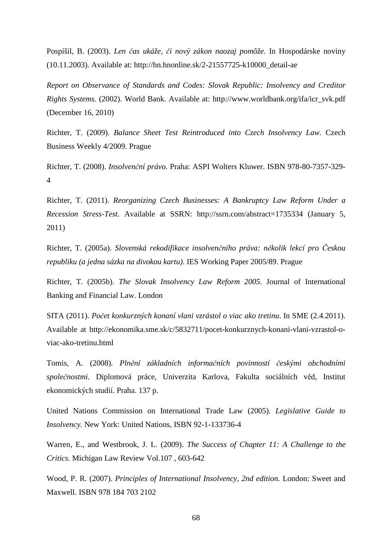Pospíšil, B. (2003). *Len čas ukáže, či nový zákon naozaj pomôže.* In Hospodárske noviny (10.11.2003). Available at: http://hn.hnonline.sk/2-21557725-k10000\_detail-ae

*Report on Observance of Standards and Codes: Slovak Republic: Insolvency and Creditor Rights Systems.* (2002). World Bank. Available at: http://www.worldbank.org/ifa/icr\_svk.pdf (December 16, 2010)

Richter, T. (2009). *Balance Sheet Test Reintroduced into Czech Insolvency Law.* Czech Business Weekly 4/2009. Prague

Richter, T. (2008). *Insolvenční právo.* Praha: ASPI Wolters Kluwer. ISBN 978-80-7357-329- 4

Richter, T. (2011). *Reorganizing Czech Businesses: A Bankruptcy Law Reform Under a Recession Stress-Test.* Available at SSRN: http://ssrn.com/abstract=1735334 (January 5, 2011)

Richter, T. (2005a). *Slovenská rekodifikace insolvenčního práva: několik lekcí pro Českou republiku (a jedna sázka na divokou kartu)*. IES Working Paper 2005/89. Prague

Richter, T. (2005b). *The Slovak Insolvency Law Reform 2005*. Journal of International Banking and Financial Law. London

SITA (2011). *Počet konkurzných konaní vlani vzrástol o viac ako tretinu*. In SME (2.4.2011). Available at http://ekonomika.sme.sk/c/5832711/pocet-konkurznych-konani-vlani-vzrastol-oviac-ako-tretinu.html

Tomis, A. (2008). *Plnění základních informačních povinností českými obchodními společnostmi.* Diplomová práce, Univerzita Karlova, Fakulta sociálních věd, Institut ekonomických studií. Praha. 137 p.

United Nations Commission on International Trade Law (2005). *Legislative Guide to Insolvency.* New York: United Nations, ISBN 92-1-133736-4

Warren, E., and Westbrook, J. L. (2009). *The Success of Chapter 11: A Challenge to the Critics.* Michigan Law Review Vol.107 , 603-642

Wood, P. R. (2007). *Principles of International Insolvency, 2nd edition.* London: Sweet and Maxwell. ISBN 978 184 703 2102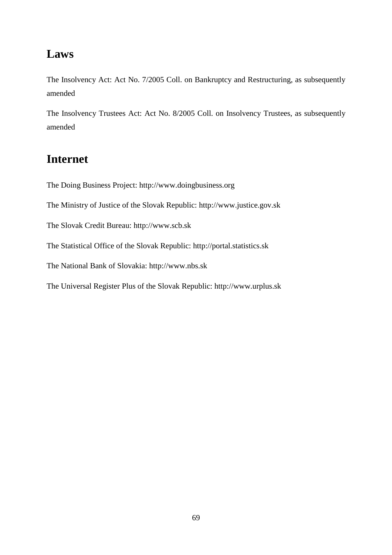## **Laws**

The Insolvency Act: Act No. 7/2005 Coll. on Bankruptcy and Restructuring, as subsequently amended

The Insolvency Trustees Act: Act No. 8/2005 Coll. on Insolvency Trustees, as subsequently amended

## **Internet**

The Doing Business Project: http://www.doingbusiness.org

The Ministry of Justice of the Slovak Republic: http://www.justice.gov.sk

The Slovak Credit Bureau: http://www.scb.sk

The Statistical Office of the Slovak Republic: http://portal.statistics.sk

The National Bank of Slovakia: http://www.nbs.sk

The Universal Register Plus of the Slovak Republic: http://www.urplus.sk